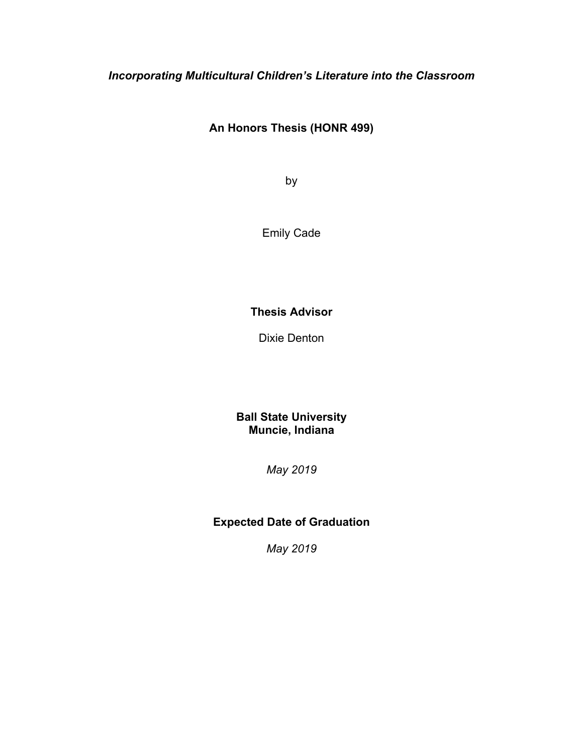## *Incorporating Multicultural Children's Literature into the Classroom*

## **An Honors Thesis (HONR 499)**

by

Emily Cade

## **Thesis Advisor**

Dixie Denton

**Ball State University Muncie, Indiana** 

*May 2019*

## **Expected Date of Graduation**

*May 2019*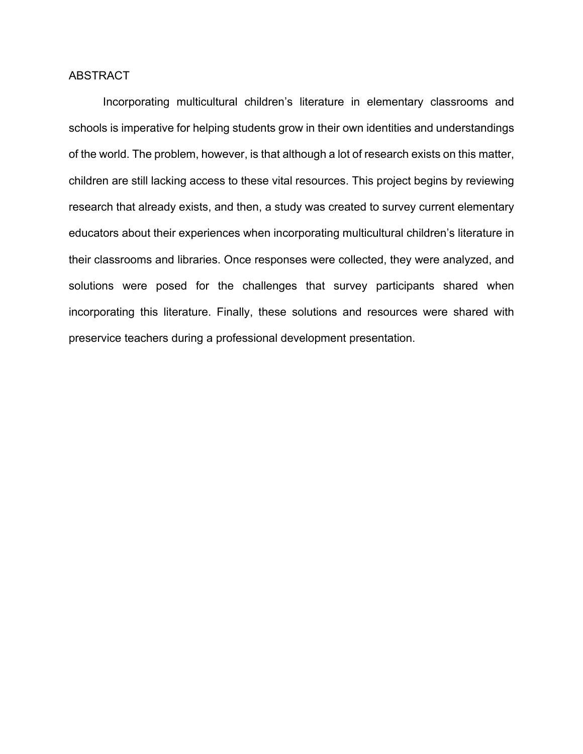#### ABSTRACT

Incorporating multicultural children's literature in elementary classrooms and schools is imperative for helping students grow in their own identities and understandings of the world. The problem, however, is that although a lot of research exists on this matter, children are still lacking access to these vital resources. This project begins by reviewing research that already exists, and then, a study was created to survey current elementary educators about their experiences when incorporating multicultural children's literature in their classrooms and libraries. Once responses were collected, they were analyzed, and solutions were posed for the challenges that survey participants shared when incorporating this literature. Finally, these solutions and resources were shared with preservice teachers during a professional development presentation.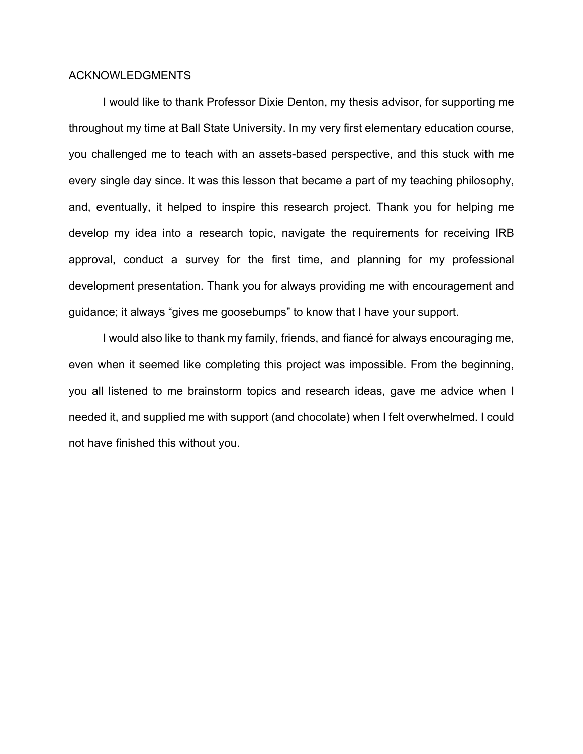#### ACKNOWLEDGMENTS

I would like to thank Professor Dixie Denton, my thesis advisor, for supporting me throughout my time at Ball State University. In my very first elementary education course, you challenged me to teach with an assets-based perspective, and this stuck with me every single day since. It was this lesson that became a part of my teaching philosophy, and, eventually, it helped to inspire this research project. Thank you for helping me develop my idea into a research topic, navigate the requirements for receiving IRB approval, conduct a survey for the first time, and planning for my professional development presentation. Thank you for always providing me with encouragement and guidance; it always "gives me goosebumps" to know that I have your support.

I would also like to thank my family, friends, and fiancé for always encouraging me, even when it seemed like completing this project was impossible. From the beginning, you all listened to me brainstorm topics and research ideas, gave me advice when I needed it, and supplied me with support (and chocolate) when I felt overwhelmed. I could not have finished this without you.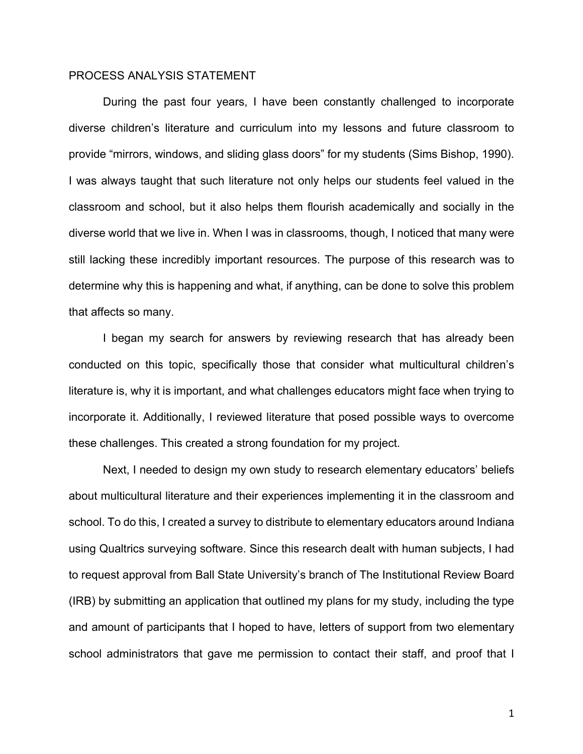#### PROCESS ANALYSIS STATEMENT

During the past four years, I have been constantly challenged to incorporate diverse children's literature and curriculum into my lessons and future classroom to provide "mirrors, windows, and sliding glass doors" for my students (Sims Bishop, 1990). I was always taught that such literature not only helps our students feel valued in the classroom and school, but it also helps them flourish academically and socially in the diverse world that we live in. When I was in classrooms, though, I noticed that many were still lacking these incredibly important resources. The purpose of this research was to determine why this is happening and what, if anything, can be done to solve this problem that affects so many.

I began my search for answers by reviewing research that has already been conducted on this topic, specifically those that consider what multicultural children's literature is, why it is important, and what challenges educators might face when trying to incorporate it. Additionally, I reviewed literature that posed possible ways to overcome these challenges. This created a strong foundation for my project.

Next, I needed to design my own study to research elementary educators' beliefs about multicultural literature and their experiences implementing it in the classroom and school. To do this, I created a survey to distribute to elementary educators around Indiana using Qualtrics surveying software. Since this research dealt with human subjects, I had to request approval from Ball State University's branch of The Institutional Review Board (IRB) by submitting an application that outlined my plans for my study, including the type and amount of participants that I hoped to have, letters of support from two elementary school administrators that gave me permission to contact their staff, and proof that I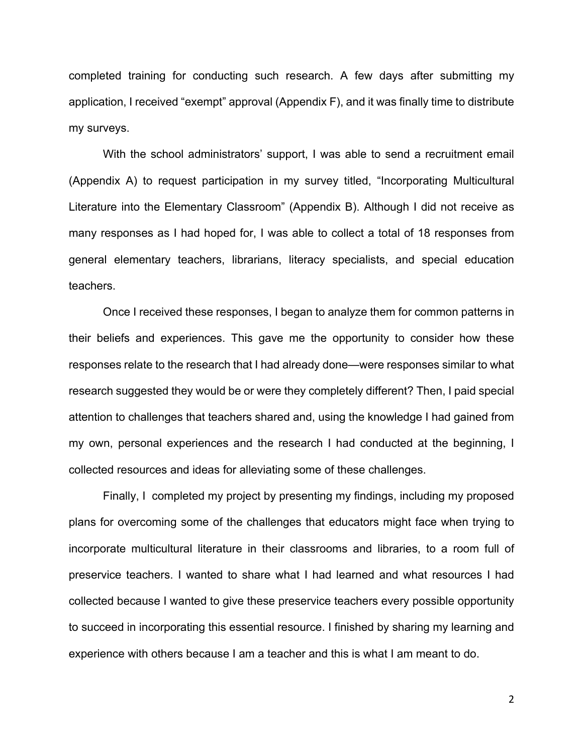completed training for conducting such research. A few days after submitting my application, I received "exempt" approval (Appendix F), and it was finally time to distribute my surveys.

With the school administrators' support, I was able to send a recruitment email (Appendix A) to request participation in my survey titled, "Incorporating Multicultural Literature into the Elementary Classroom" (Appendix B). Although I did not receive as many responses as I had hoped for, I was able to collect a total of 18 responses from general elementary teachers, librarians, literacy specialists, and special education teachers.

Once I received these responses, I began to analyze them for common patterns in their beliefs and experiences. This gave me the opportunity to consider how these responses relate to the research that I had already done—were responses similar to what research suggested they would be or were they completely different? Then, I paid special attention to challenges that teachers shared and, using the knowledge I had gained from my own, personal experiences and the research I had conducted at the beginning, I collected resources and ideas for alleviating some of these challenges.

Finally, I completed my project by presenting my findings, including my proposed plans for overcoming some of the challenges that educators might face when trying to incorporate multicultural literature in their classrooms and libraries, to a room full of preservice teachers. I wanted to share what I had learned and what resources I had collected because I wanted to give these preservice teachers every possible opportunity to succeed in incorporating this essential resource. I finished by sharing my learning and experience with others because I am a teacher and this is what I am meant to do.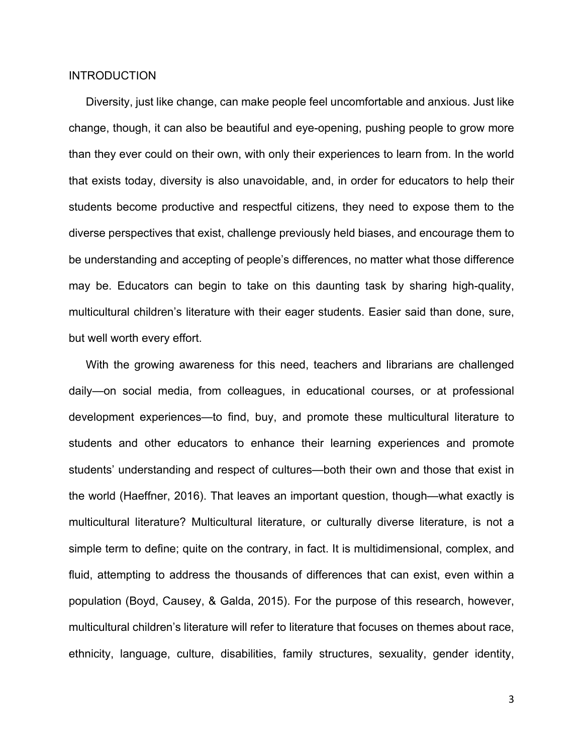#### **INTRODUCTION**

Diversity, just like change, can make people feel uncomfortable and anxious. Just like change, though, it can also be beautiful and eye-opening, pushing people to grow more than they ever could on their own, with only their experiences to learn from. In the world that exists today, diversity is also unavoidable, and, in order for educators to help their students become productive and respectful citizens, they need to expose them to the diverse perspectives that exist, challenge previously held biases, and encourage them to be understanding and accepting of people's differences, no matter what those difference may be. Educators can begin to take on this daunting task by sharing high-quality, multicultural children's literature with their eager students. Easier said than done, sure, but well worth every effort.

With the growing awareness for this need, teachers and librarians are challenged daily—on social media, from colleagues, in educational courses, or at professional development experiences—to find, buy, and promote these multicultural literature to students and other educators to enhance their learning experiences and promote students' understanding and respect of cultures—both their own and those that exist in the world (Haeffner, 2016). That leaves an important question, though—what exactly is multicultural literature? Multicultural literature, or culturally diverse literature, is not a simple term to define; quite on the contrary, in fact. It is multidimensional, complex, and fluid, attempting to address the thousands of differences that can exist, even within a population (Boyd, Causey, & Galda, 2015). For the purpose of this research, however, multicultural children's literature will refer to literature that focuses on themes about race, ethnicity, language, culture, disabilities, family structures, sexuality, gender identity,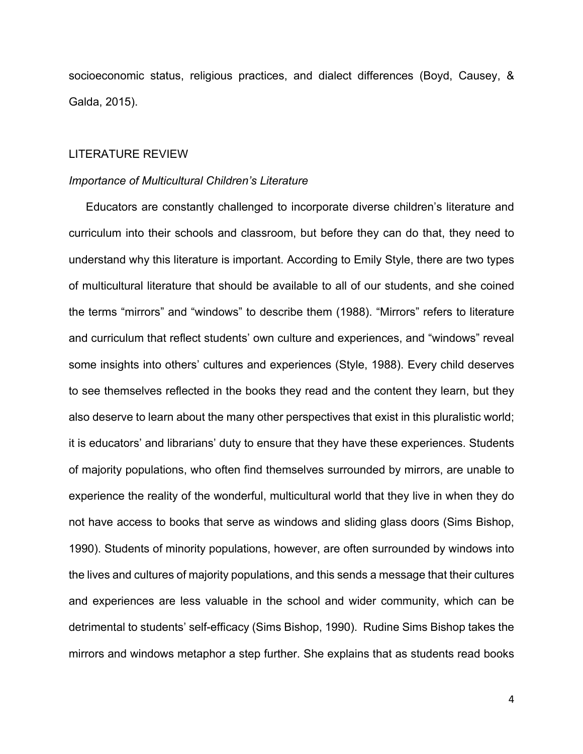socioeconomic status, religious practices, and dialect differences (Boyd, Causey, & Galda, 2015).

#### LITERATURE REVIEW

#### *Importance of Multicultural Children's Literature*

Educators are constantly challenged to incorporate diverse children's literature and curriculum into their schools and classroom, but before they can do that, they need to understand why this literature is important. According to Emily Style, there are two types of multicultural literature that should be available to all of our students, and she coined the terms "mirrors" and "windows" to describe them (1988). "Mirrors" refers to literature and curriculum that reflect students' own culture and experiences, and "windows" reveal some insights into others' cultures and experiences (Style, 1988). Every child deserves to see themselves reflected in the books they read and the content they learn, but they also deserve to learn about the many other perspectives that exist in this pluralistic world; it is educators' and librarians' duty to ensure that they have these experiences. Students of majority populations, who often find themselves surrounded by mirrors, are unable to experience the reality of the wonderful, multicultural world that they live in when they do not have access to books that serve as windows and sliding glass doors (Sims Bishop, 1990). Students of minority populations, however, are often surrounded by windows into the lives and cultures of majority populations, and this sends a message that their cultures and experiences are less valuable in the school and wider community, which can be detrimental to students' self-efficacy (Sims Bishop, 1990). Rudine Sims Bishop takes the mirrors and windows metaphor a step further. She explains that as students read books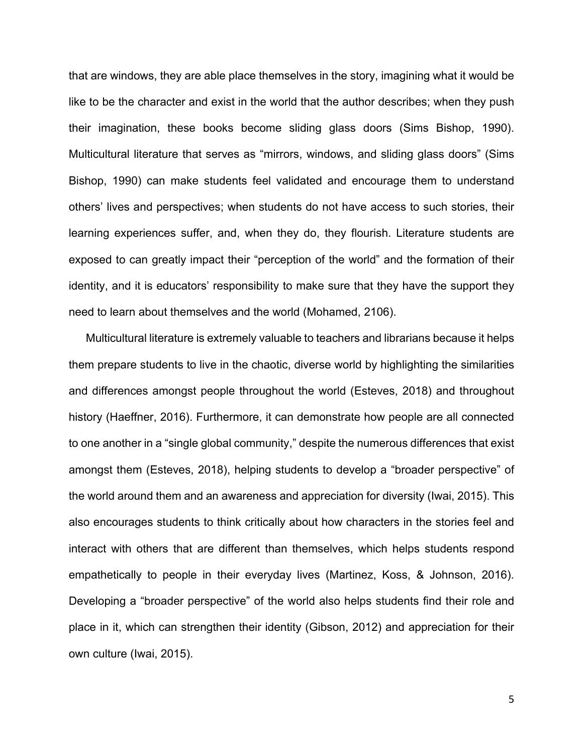that are windows, they are able place themselves in the story, imagining what it would be like to be the character and exist in the world that the author describes; when they push their imagination, these books become sliding glass doors (Sims Bishop, 1990). Multicultural literature that serves as "mirrors, windows, and sliding glass doors" (Sims Bishop, 1990) can make students feel validated and encourage them to understand others' lives and perspectives; when students do not have access to such stories, their learning experiences suffer, and, when they do, they flourish. Literature students are exposed to can greatly impact their "perception of the world" and the formation of their identity, and it is educators' responsibility to make sure that they have the support they need to learn about themselves and the world (Mohamed, 2106).

Multicultural literature is extremely valuable to teachers and librarians because it helps them prepare students to live in the chaotic, diverse world by highlighting the similarities and differences amongst people throughout the world (Esteves, 2018) and throughout history (Haeffner, 2016). Furthermore, it can demonstrate how people are all connected to one another in a "single global community," despite the numerous differences that exist amongst them (Esteves, 2018), helping students to develop a "broader perspective" of the world around them and an awareness and appreciation for diversity (Iwai, 2015). This also encourages students to think critically about how characters in the stories feel and interact with others that are different than themselves, which helps students respond empathetically to people in their everyday lives (Martinez, Koss, & Johnson, 2016). Developing a "broader perspective" of the world also helps students find their role and place in it, which can strengthen their identity (Gibson, 2012) and appreciation for their own culture (Iwai, 2015).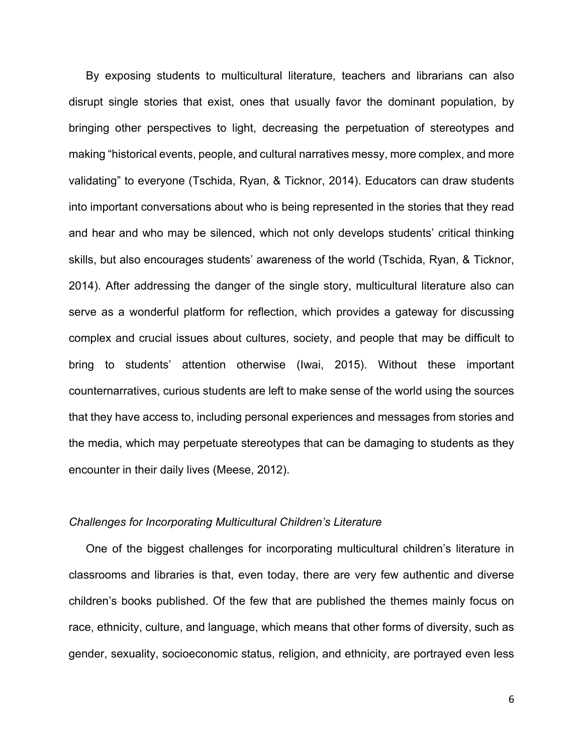By exposing students to multicultural literature, teachers and librarians can also disrupt single stories that exist, ones that usually favor the dominant population, by bringing other perspectives to light, decreasing the perpetuation of stereotypes and making "historical events, people, and cultural narratives messy, more complex, and more validating" to everyone (Tschida, Ryan, & Ticknor, 2014). Educators can draw students into important conversations about who is being represented in the stories that they read and hear and who may be silenced, which not only develops students' critical thinking skills, but also encourages students' awareness of the world (Tschida, Ryan, & Ticknor, 2014). After addressing the danger of the single story, multicultural literature also can serve as a wonderful platform for reflection, which provides a gateway for discussing complex and crucial issues about cultures, society, and people that may be difficult to bring to students' attention otherwise (Iwai, 2015). Without these important counternarratives, curious students are left to make sense of the world using the sources that they have access to, including personal experiences and messages from stories and the media, which may perpetuate stereotypes that can be damaging to students as they encounter in their daily lives (Meese, 2012).

#### *Challenges for Incorporating Multicultural Children's Literature*

One of the biggest challenges for incorporating multicultural children's literature in classrooms and libraries is that, even today, there are very few authentic and diverse children's books published. Of the few that are published the themes mainly focus on race, ethnicity, culture, and language, which means that other forms of diversity, such as gender, sexuality, socioeconomic status, religion, and ethnicity, are portrayed even less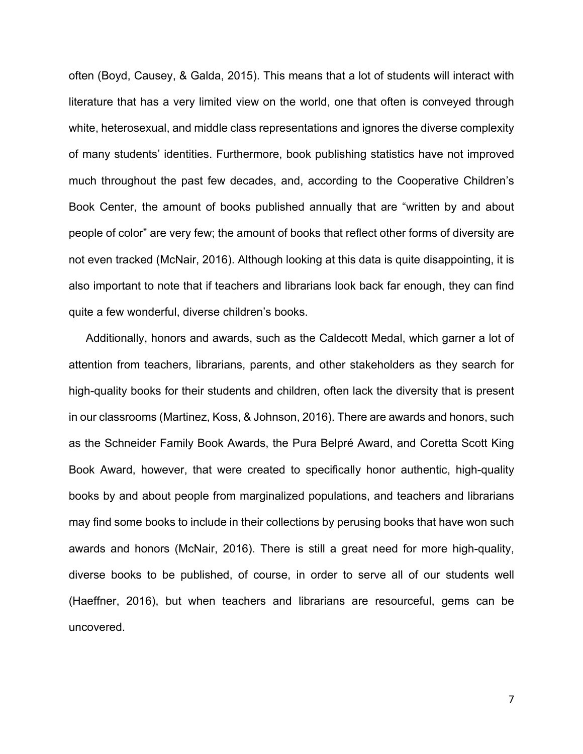often (Boyd, Causey, & Galda, 2015). This means that a lot of students will interact with literature that has a very limited view on the world, one that often is conveyed through white, heterosexual, and middle class representations and ignores the diverse complexity of many students' identities. Furthermore, book publishing statistics have not improved much throughout the past few decades, and, according to the Cooperative Children's Book Center, the amount of books published annually that are "written by and about people of color" are very few; the amount of books that reflect other forms of diversity are not even tracked (McNair, 2016). Although looking at this data is quite disappointing, it is also important to note that if teachers and librarians look back far enough, they can find quite a few wonderful, diverse children's books.

Additionally, honors and awards, such as the Caldecott Medal, which garner a lot of attention from teachers, librarians, parents, and other stakeholders as they search for high-quality books for their students and children, often lack the diversity that is present in our classrooms (Martinez, Koss, & Johnson, 2016). There are awards and honors, such as the Schneider Family Book Awards, the Pura Belpré Award, and Coretta Scott King Book Award, however, that were created to specifically honor authentic, high-quality books by and about people from marginalized populations, and teachers and librarians may find some books to include in their collections by perusing books that have won such awards and honors (McNair, 2016). There is still a great need for more high-quality, diverse books to be published, of course, in order to serve all of our students well (Haeffner, 2016), but when teachers and librarians are resourceful, gems can be uncovered.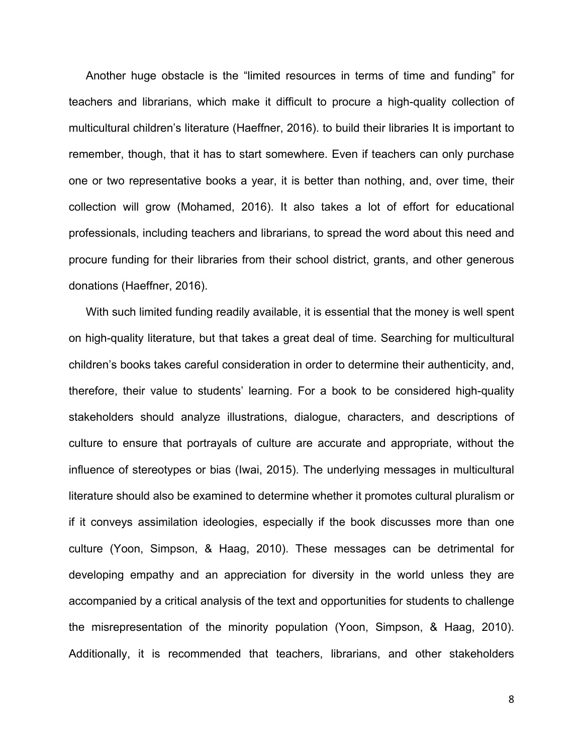Another huge obstacle is the "limited resources in terms of time and funding" for teachers and librarians, which make it difficult to procure a high-quality collection of multicultural children's literature (Haeffner, 2016). to build their libraries It is important to remember, though, that it has to start somewhere. Even if teachers can only purchase one or two representative books a year, it is better than nothing, and, over time, their collection will grow (Mohamed, 2016). It also takes a lot of effort for educational professionals, including teachers and librarians, to spread the word about this need and procure funding for their libraries from their school district, grants, and other generous donations (Haeffner, 2016).

With such limited funding readily available, it is essential that the money is well spent on high-quality literature, but that takes a great deal of time. Searching for multicultural children's books takes careful consideration in order to determine their authenticity, and, therefore, their value to students' learning. For a book to be considered high-quality stakeholders should analyze illustrations, dialogue, characters, and descriptions of culture to ensure that portrayals of culture are accurate and appropriate, without the influence of stereotypes or bias (Iwai, 2015). The underlying messages in multicultural literature should also be examined to determine whether it promotes cultural pluralism or if it conveys assimilation ideologies, especially if the book discusses more than one culture (Yoon, Simpson, & Haag, 2010). These messages can be detrimental for developing empathy and an appreciation for diversity in the world unless they are accompanied by a critical analysis of the text and opportunities for students to challenge the misrepresentation of the minority population (Yoon, Simpson, & Haag, 2010). Additionally, it is recommended that teachers, librarians, and other stakeholders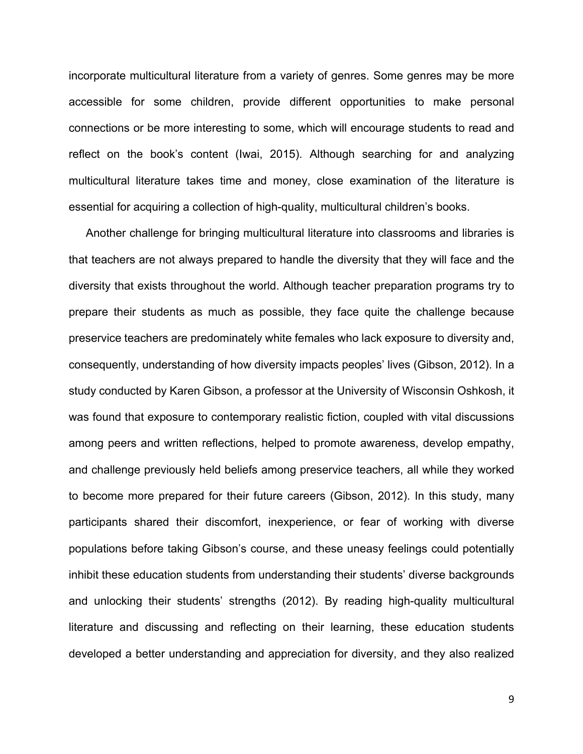incorporate multicultural literature from a variety of genres. Some genres may be more accessible for some children, provide different opportunities to make personal connections or be more interesting to some, which will encourage students to read and reflect on the book's content (Iwai, 2015). Although searching for and analyzing multicultural literature takes time and money, close examination of the literature is essential for acquiring a collection of high-quality, multicultural children's books.

Another challenge for bringing multicultural literature into classrooms and libraries is that teachers are not always prepared to handle the diversity that they will face and the diversity that exists throughout the world. Although teacher preparation programs try to prepare their students as much as possible, they face quite the challenge because preservice teachers are predominately white females who lack exposure to diversity and, consequently, understanding of how diversity impacts peoples' lives (Gibson, 2012). In a study conducted by Karen Gibson, a professor at the University of Wisconsin Oshkosh, it was found that exposure to contemporary realistic fiction, coupled with vital discussions among peers and written reflections, helped to promote awareness, develop empathy, and challenge previously held beliefs among preservice teachers, all while they worked to become more prepared for their future careers (Gibson, 2012). In this study, many participants shared their discomfort, inexperience, or fear of working with diverse populations before taking Gibson's course, and these uneasy feelings could potentially inhibit these education students from understanding their students' diverse backgrounds and unlocking their students' strengths (2012). By reading high-quality multicultural literature and discussing and reflecting on their learning, these education students developed a better understanding and appreciation for diversity, and they also realized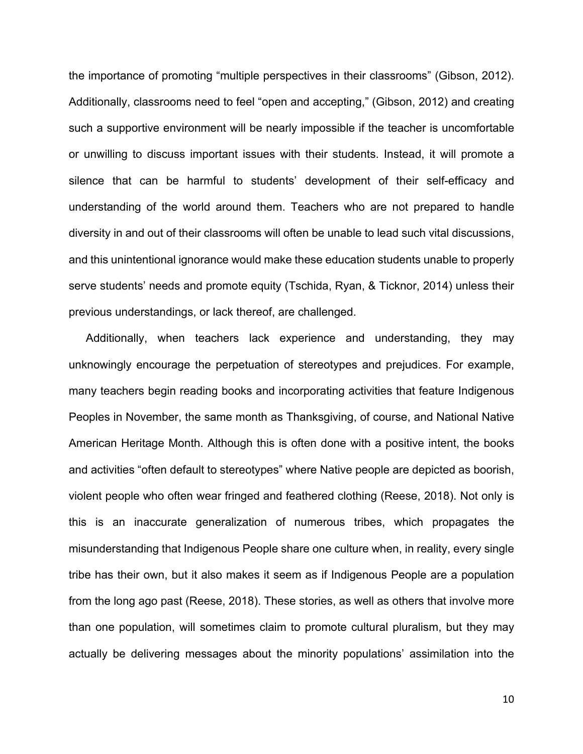the importance of promoting "multiple perspectives in their classrooms" (Gibson, 2012). Additionally, classrooms need to feel "open and accepting," (Gibson, 2012) and creating such a supportive environment will be nearly impossible if the teacher is uncomfortable or unwilling to discuss important issues with their students. Instead, it will promote a silence that can be harmful to students' development of their self-efficacy and understanding of the world around them. Teachers who are not prepared to handle diversity in and out of their classrooms will often be unable to lead such vital discussions, and this unintentional ignorance would make these education students unable to properly serve students' needs and promote equity (Tschida, Ryan, & Ticknor, 2014) unless their previous understandings, or lack thereof, are challenged.

Additionally, when teachers lack experience and understanding, they may unknowingly encourage the perpetuation of stereotypes and prejudices. For example, many teachers begin reading books and incorporating activities that feature Indigenous Peoples in November, the same month as Thanksgiving, of course, and National Native American Heritage Month. Although this is often done with a positive intent, the books and activities "often default to stereotypes" where Native people are depicted as boorish, violent people who often wear fringed and feathered clothing (Reese, 2018). Not only is this is an inaccurate generalization of numerous tribes, which propagates the misunderstanding that Indigenous People share one culture when, in reality, every single tribe has their own, but it also makes it seem as if Indigenous People are a population from the long ago past (Reese, 2018). These stories, as well as others that involve more than one population, will sometimes claim to promote cultural pluralism, but they may actually be delivering messages about the minority populations' assimilation into the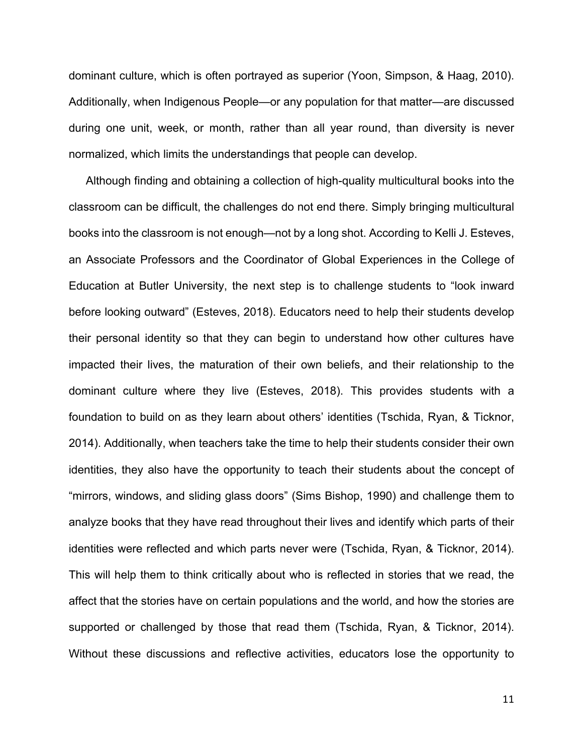dominant culture, which is often portrayed as superior (Yoon, Simpson, & Haag, 2010). Additionally, when Indigenous People—or any population for that matter—are discussed during one unit, week, or month, rather than all year round, than diversity is never normalized, which limits the understandings that people can develop.

Although finding and obtaining a collection of high-quality multicultural books into the classroom can be difficult, the challenges do not end there. Simply bringing multicultural books into the classroom is not enough—not by a long shot. According to Kelli J. Esteves, an Associate Professors and the Coordinator of Global Experiences in the College of Education at Butler University, the next step is to challenge students to "look inward before looking outward" (Esteves, 2018). Educators need to help their students develop their personal identity so that they can begin to understand how other cultures have impacted their lives, the maturation of their own beliefs, and their relationship to the dominant culture where they live (Esteves, 2018). This provides students with a foundation to build on as they learn about others' identities (Tschida, Ryan, & Ticknor, 2014). Additionally, when teachers take the time to help their students consider their own identities, they also have the opportunity to teach their students about the concept of "mirrors, windows, and sliding glass doors" (Sims Bishop, 1990) and challenge them to analyze books that they have read throughout their lives and identify which parts of their identities were reflected and which parts never were (Tschida, Ryan, & Ticknor, 2014). This will help them to think critically about who is reflected in stories that we read, the affect that the stories have on certain populations and the world, and how the stories are supported or challenged by those that read them (Tschida, Ryan, & Ticknor, 2014). Without these discussions and reflective activities, educators lose the opportunity to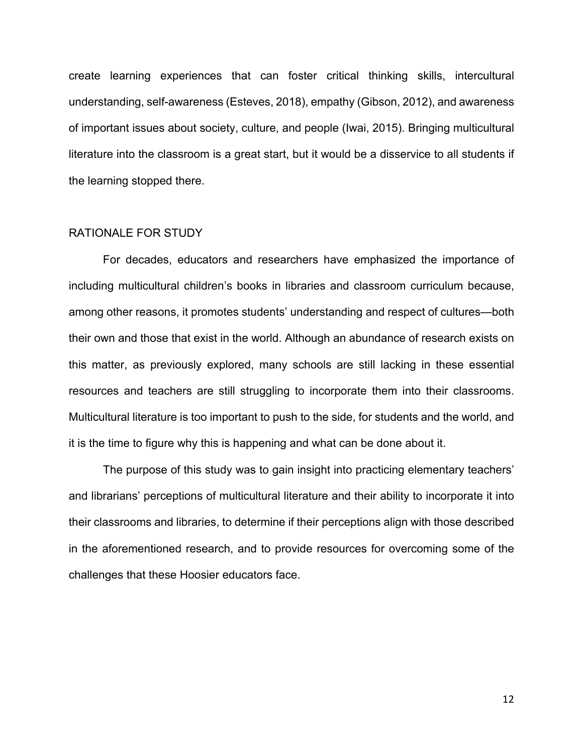create learning experiences that can foster critical thinking skills, intercultural understanding, self-awareness (Esteves, 2018), empathy (Gibson, 2012), and awareness of important issues about society, culture, and people (Iwai, 2015). Bringing multicultural literature into the classroom is a great start, but it would be a disservice to all students if the learning stopped there.

#### RATIONALE FOR STUDY

For decades, educators and researchers have emphasized the importance of including multicultural children's books in libraries and classroom curriculum because, among other reasons, it promotes students' understanding and respect of cultures—both their own and those that exist in the world. Although an abundance of research exists on this matter, as previously explored, many schools are still lacking in these essential resources and teachers are still struggling to incorporate them into their classrooms. Multicultural literature is too important to push to the side, for students and the world, and it is the time to figure why this is happening and what can be done about it.

The purpose of this study was to gain insight into practicing elementary teachers' and librarians' perceptions of multicultural literature and their ability to incorporate it into their classrooms and libraries, to determine if their perceptions align with those described in the aforementioned research, and to provide resources for overcoming some of the challenges that these Hoosier educators face.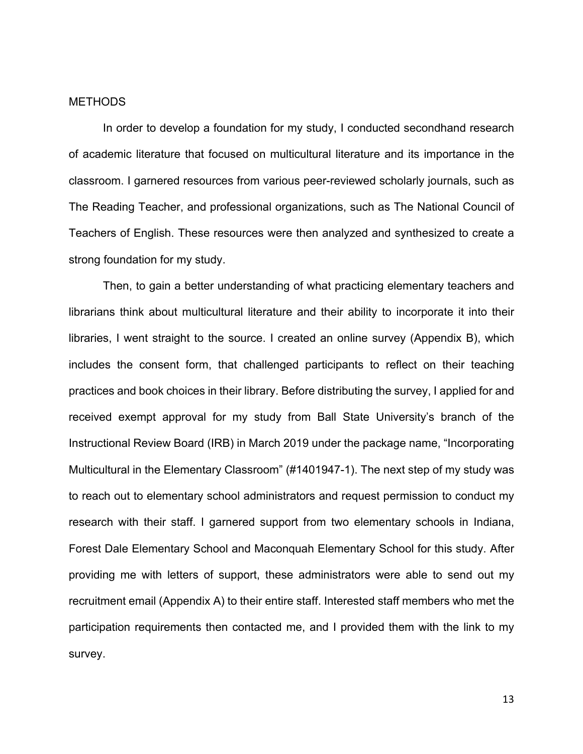#### **METHODS**

In order to develop a foundation for my study, I conducted secondhand research of academic literature that focused on multicultural literature and its importance in the classroom. I garnered resources from various peer-reviewed scholarly journals, such as The Reading Teacher, and professional organizations, such as The National Council of Teachers of English. These resources were then analyzed and synthesized to create a strong foundation for my study.

Then, to gain a better understanding of what practicing elementary teachers and librarians think about multicultural literature and their ability to incorporate it into their libraries, I went straight to the source. I created an online survey (Appendix B), which includes the consent form, that challenged participants to reflect on their teaching practices and book choices in their library. Before distributing the survey, I applied for and received exempt approval for my study from Ball State University's branch of the Instructional Review Board (IRB) in March 2019 under the package name, "Incorporating Multicultural in the Elementary Classroom" (#1401947-1). The next step of my study was to reach out to elementary school administrators and request permission to conduct my research with their staff. I garnered support from two elementary schools in Indiana, Forest Dale Elementary School and Maconquah Elementary School for this study. After providing me with letters of support, these administrators were able to send out my recruitment email (Appendix A) to their entire staff. Interested staff members who met the participation requirements then contacted me, and I provided them with the link to my survey.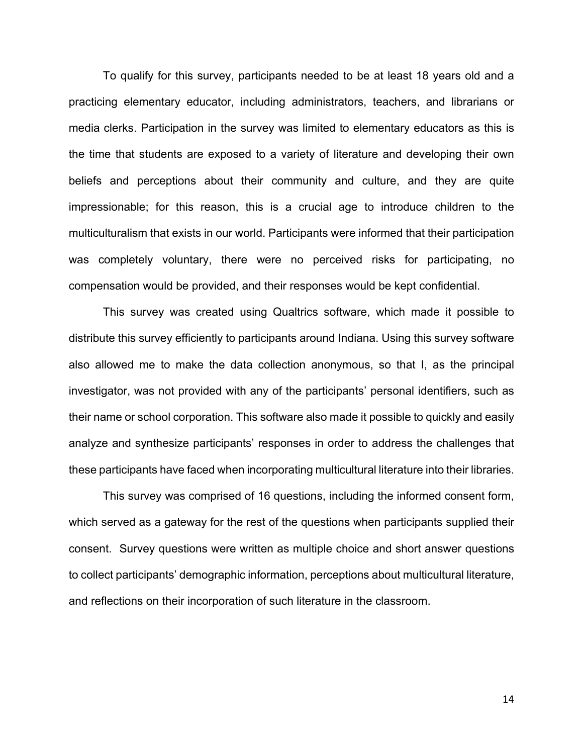To qualify for this survey, participants needed to be at least 18 years old and a practicing elementary educator, including administrators, teachers, and librarians or media clerks. Participation in the survey was limited to elementary educators as this is the time that students are exposed to a variety of literature and developing their own beliefs and perceptions about their community and culture, and they are quite impressionable; for this reason, this is a crucial age to introduce children to the multiculturalism that exists in our world. Participants were informed that their participation was completely voluntary, there were no perceived risks for participating, no compensation would be provided, and their responses would be kept confidential.

This survey was created using Qualtrics software, which made it possible to distribute this survey efficiently to participants around Indiana. Using this survey software also allowed me to make the data collection anonymous, so that I, as the principal investigator, was not provided with any of the participants' personal identifiers, such as their name or school corporation. This software also made it possible to quickly and easily analyze and synthesize participants' responses in order to address the challenges that these participants have faced when incorporating multicultural literature into their libraries.

This survey was comprised of 16 questions, including the informed consent form, which served as a gateway for the rest of the questions when participants supplied their consent. Survey questions were written as multiple choice and short answer questions to collect participants' demographic information, perceptions about multicultural literature, and reflections on their incorporation of such literature in the classroom.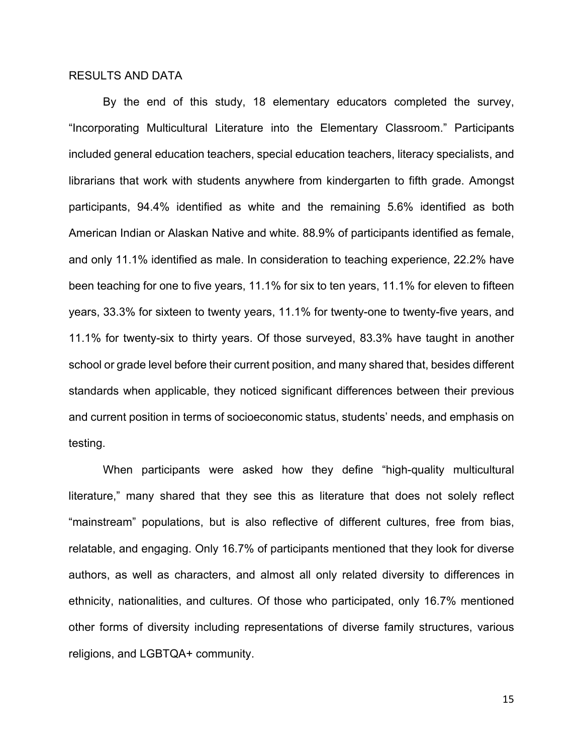#### RESULTS AND DATA

 By the end of this study, 18 elementary educators completed the survey, "Incorporating Multicultural Literature into the Elementary Classroom." Participants included general education teachers, special education teachers, literacy specialists, and librarians that work with students anywhere from kindergarten to fifth grade. Amongst participants, 94.4% identified as white and the remaining 5.6% identified as both American Indian or Alaskan Native and white. 88.9% of participants identified as female, and only 11.1% identified as male. In consideration to teaching experience, 22.2% have been teaching for one to five years, 11.1% for six to ten years, 11.1% for eleven to fifteen years, 33.3% for sixteen to twenty years, 11.1% for twenty-one to twenty-five years, and 11.1% for twenty-six to thirty years. Of those surveyed, 83.3% have taught in another school or grade level before their current position, and many shared that, besides different standards when applicable, they noticed significant differences between their previous and current position in terms of socioeconomic status, students' needs, and emphasis on testing.

When participants were asked how they define "high-quality multicultural literature," many shared that they see this as literature that does not solely reflect "mainstream" populations, but is also reflective of different cultures, free from bias, relatable, and engaging. Only 16.7% of participants mentioned that they look for diverse authors, as well as characters, and almost all only related diversity to differences in ethnicity, nationalities, and cultures. Of those who participated, only 16.7% mentioned other forms of diversity including representations of diverse family structures, various religions, and LGBTQA+ community.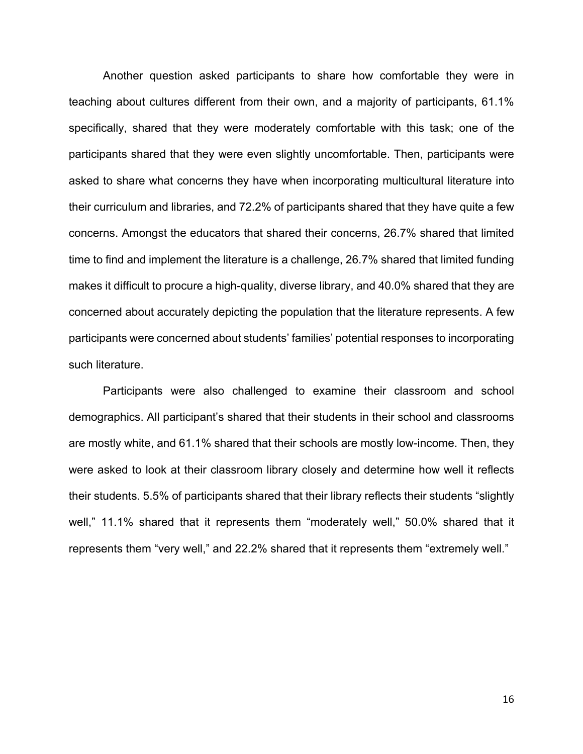Another question asked participants to share how comfortable they were in teaching about cultures different from their own, and a majority of participants, 61.1% specifically, shared that they were moderately comfortable with this task; one of the participants shared that they were even slightly uncomfortable. Then, participants were asked to share what concerns they have when incorporating multicultural literature into their curriculum and libraries, and 72.2% of participants shared that they have quite a few concerns. Amongst the educators that shared their concerns, 26.7% shared that limited time to find and implement the literature is a challenge, 26.7% shared that limited funding makes it difficult to procure a high-quality, diverse library, and 40.0% shared that they are concerned about accurately depicting the population that the literature represents. A few participants were concerned about students' families' potential responses to incorporating such literature.

Participants were also challenged to examine their classroom and school demographics. All participant's shared that their students in their school and classrooms are mostly white, and 61.1% shared that their schools are mostly low-income. Then, they were asked to look at their classroom library closely and determine how well it reflects their students. 5.5% of participants shared that their library reflects their students "slightly well," 11.1% shared that it represents them "moderately well," 50.0% shared that it represents them "very well," and 22.2% shared that it represents them "extremely well."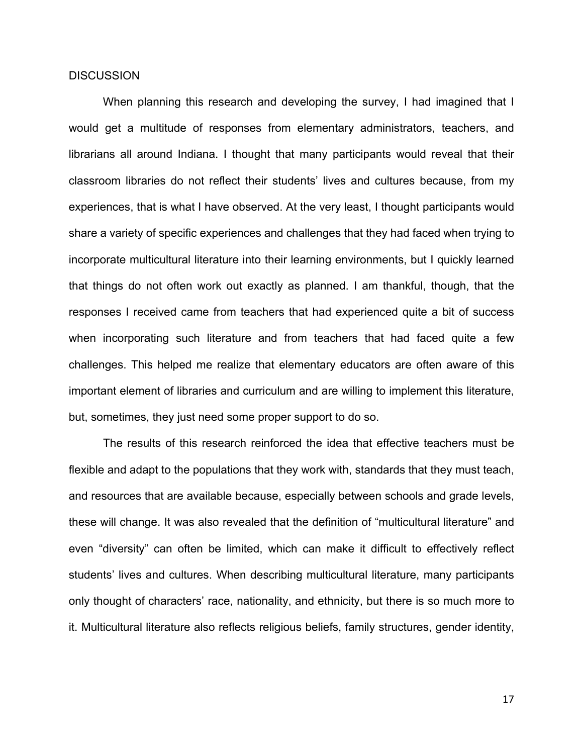#### **DISCUSSION**

When planning this research and developing the survey, I had imagined that I would get a multitude of responses from elementary administrators, teachers, and librarians all around Indiana. I thought that many participants would reveal that their classroom libraries do not reflect their students' lives and cultures because, from my experiences, that is what I have observed. At the very least, I thought participants would share a variety of specific experiences and challenges that they had faced when trying to incorporate multicultural literature into their learning environments, but I quickly learned that things do not often work out exactly as planned. I am thankful, though, that the responses I received came from teachers that had experienced quite a bit of success when incorporating such literature and from teachers that had faced quite a few challenges. This helped me realize that elementary educators are often aware of this important element of libraries and curriculum and are willing to implement this literature, but, sometimes, they just need some proper support to do so.

The results of this research reinforced the idea that effective teachers must be flexible and adapt to the populations that they work with, standards that they must teach, and resources that are available because, especially between schools and grade levels, these will change. It was also revealed that the definition of "multicultural literature" and even "diversity" can often be limited, which can make it difficult to effectively reflect students' lives and cultures. When describing multicultural literature, many participants only thought of characters' race, nationality, and ethnicity, but there is so much more to it. Multicultural literature also reflects religious beliefs, family structures, gender identity,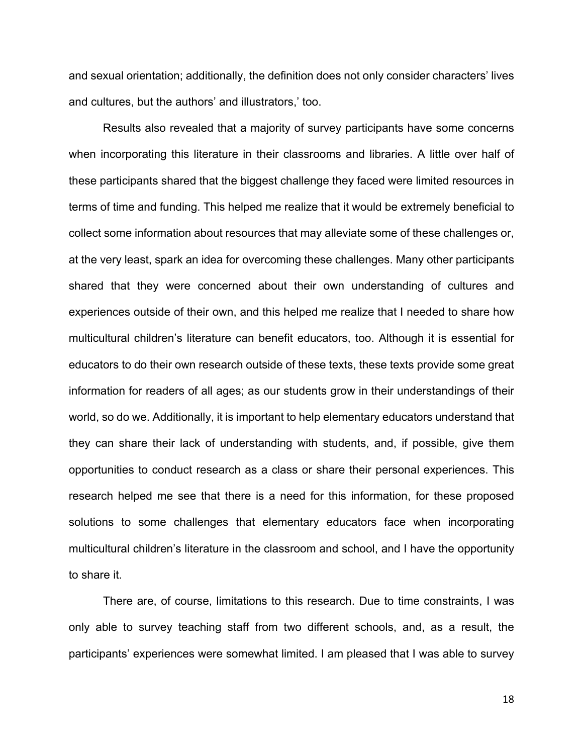and sexual orientation; additionally, the definition does not only consider characters' lives and cultures, but the authors' and illustrators,' too.

Results also revealed that a majority of survey participants have some concerns when incorporating this literature in their classrooms and libraries. A little over half of these participants shared that the biggest challenge they faced were limited resources in terms of time and funding. This helped me realize that it would be extremely beneficial to collect some information about resources that may alleviate some of these challenges or, at the very least, spark an idea for overcoming these challenges. Many other participants shared that they were concerned about their own understanding of cultures and experiences outside of their own, and this helped me realize that I needed to share how multicultural children's literature can benefit educators, too. Although it is essential for educators to do their own research outside of these texts, these texts provide some great information for readers of all ages; as our students grow in their understandings of their world, so do we. Additionally, it is important to help elementary educators understand that they can share their lack of understanding with students, and, if possible, give them opportunities to conduct research as a class or share their personal experiences. This research helped me see that there is a need for this information, for these proposed solutions to some challenges that elementary educators face when incorporating multicultural children's literature in the classroom and school, and I have the opportunity to share it.

There are, of course, limitations to this research. Due to time constraints, I was only able to survey teaching staff from two different schools, and, as a result, the participants' experiences were somewhat limited. I am pleased that I was able to survey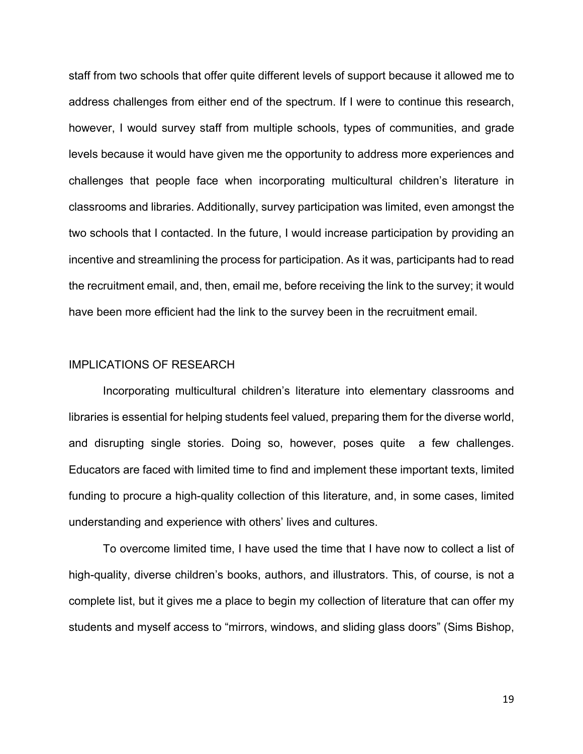staff from two schools that offer quite different levels of support because it allowed me to address challenges from either end of the spectrum. If I were to continue this research, however, I would survey staff from multiple schools, types of communities, and grade levels because it would have given me the opportunity to address more experiences and challenges that people face when incorporating multicultural children's literature in classrooms and libraries. Additionally, survey participation was limited, even amongst the two schools that I contacted. In the future, I would increase participation by providing an incentive and streamlining the process for participation. As it was, participants had to read the recruitment email, and, then, email me, before receiving the link to the survey; it would have been more efficient had the link to the survey been in the recruitment email.

#### IMPLICATIONS OF RESEARCH

Incorporating multicultural children's literature into elementary classrooms and libraries is essential for helping students feel valued, preparing them for the diverse world, and disrupting single stories. Doing so, however, poses quite a few challenges. Educators are faced with limited time to find and implement these important texts, limited funding to procure a high-quality collection of this literature, and, in some cases, limited understanding and experience with others' lives and cultures.

To overcome limited time, I have used the time that I have now to collect a list of high-quality, diverse children's books, authors, and illustrators. This, of course, is not a complete list, but it gives me a place to begin my collection of literature that can offer my students and myself access to "mirrors, windows, and sliding glass doors" (Sims Bishop,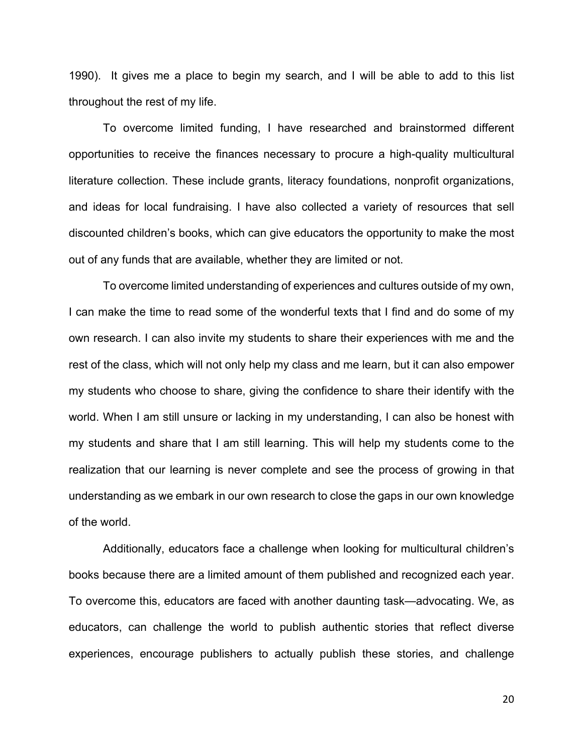1990). It gives me a place to begin my search, and I will be able to add to this list throughout the rest of my life.

To overcome limited funding, I have researched and brainstormed different opportunities to receive the finances necessary to procure a high-quality multicultural literature collection. These include grants, literacy foundations, nonprofit organizations, and ideas for local fundraising. I have also collected a variety of resources that sell discounted children's books, which can give educators the opportunity to make the most out of any funds that are available, whether they are limited or not.

To overcome limited understanding of experiences and cultures outside of my own, I can make the time to read some of the wonderful texts that I find and do some of my own research. I can also invite my students to share their experiences with me and the rest of the class, which will not only help my class and me learn, but it can also empower my students who choose to share, giving the confidence to share their identify with the world. When I am still unsure or lacking in my understanding, I can also be honest with my students and share that I am still learning. This will help my students come to the realization that our learning is never complete and see the process of growing in that understanding as we embark in our own research to close the gaps in our own knowledge of the world.

Additionally, educators face a challenge when looking for multicultural children's books because there are a limited amount of them published and recognized each year. To overcome this, educators are faced with another daunting task—advocating. We, as educators, can challenge the world to publish authentic stories that reflect diverse experiences, encourage publishers to actually publish these stories, and challenge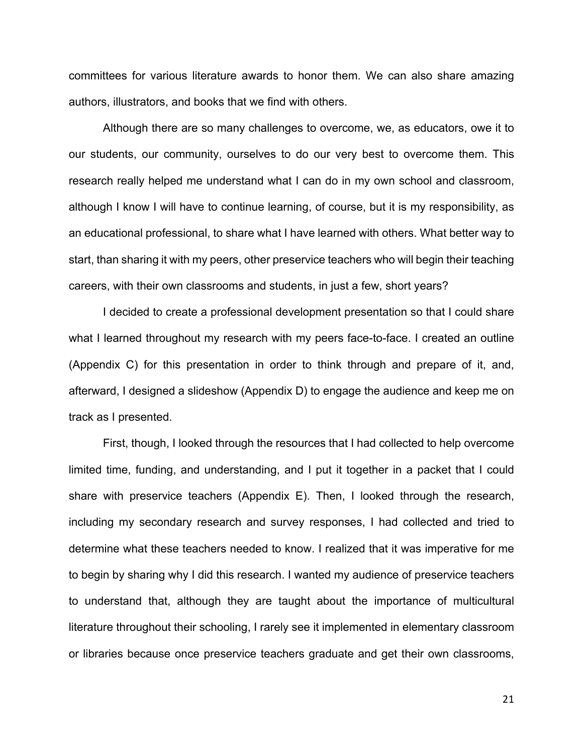committees for various literature awards to honor them. We can also share amazing authors, illustrators, and books that we find with others.

Although there are so many challenges to overcome, we, as educators, owe it to our students, our community, ourselves to do our very best to overcome them. This research really helped me understand what I can do in my own school and classroom, although I know I will have to continue learning, of course, but it is my responsibility, as an educational professional, to share what I have learned with others. What better way to start, than sharing it with my peers, other preservice teachers who will begin their teaching careers, with their own classrooms and students, in just a few, short years?

I decided to create a professional development presentation so that I could share what I learned throughout my research with my peers face-to-face. I created an outline (Appendix C) for this presentation in order to think through and prepare of it, and, afterward, I designed a slideshow (Appendix D) to engage the audience and keep me on track as I presented.

First, though, I looked through the resources that I had collected to help overcome limited time, funding, and understanding, and I put it together in a packet that I could share with preservice teachers (Appendix E). Then, I looked through the research, including my secondary research and survey responses, I had collected and tried to determine what these teachers needed to know. I realized that it was imperative for me to begin by sharing why I did this research. I wanted my audience of preservice teachers to understand that, although they are taught about the importance of multicultural literature throughout their schooling, I rarely see it implemented in elementary classroom or libraries because once preservice teachers graduate and get their own classrooms,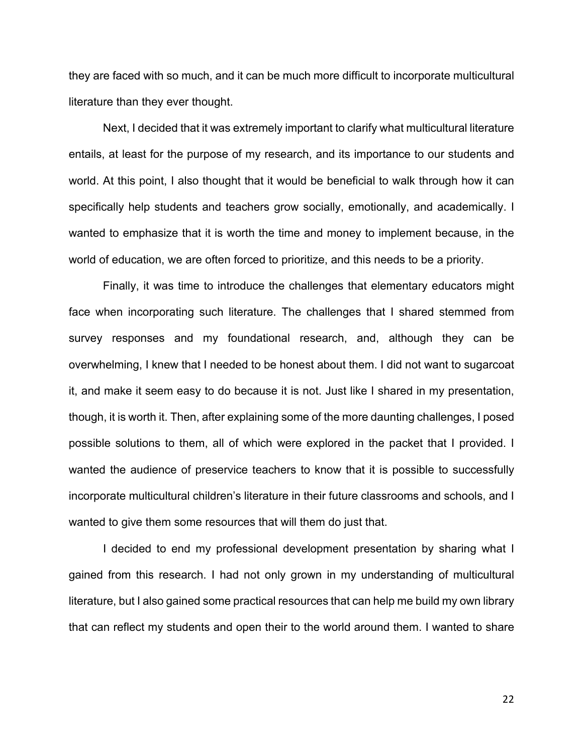they are faced with so much, and it can be much more difficult to incorporate multicultural literature than they ever thought.

Next, I decided that it was extremely important to clarify what multicultural literature entails, at least for the purpose of my research, and its importance to our students and world. At this point, I also thought that it would be beneficial to walk through how it can specifically help students and teachers grow socially, emotionally, and academically. I wanted to emphasize that it is worth the time and money to implement because, in the world of education, we are often forced to prioritize, and this needs to be a priority.

Finally, it was time to introduce the challenges that elementary educators might face when incorporating such literature. The challenges that I shared stemmed from survey responses and my foundational research, and, although they can be overwhelming, I knew that I needed to be honest about them. I did not want to sugarcoat it, and make it seem easy to do because it is not. Just like I shared in my presentation, though, it is worth it. Then, after explaining some of the more daunting challenges, I posed possible solutions to them, all of which were explored in the packet that I provided. I wanted the audience of preservice teachers to know that it is possible to successfully incorporate multicultural children's literature in their future classrooms and schools, and I wanted to give them some resources that will them do just that.

I decided to end my professional development presentation by sharing what I gained from this research. I had not only grown in my understanding of multicultural literature, but I also gained some practical resources that can help me build my own library that can reflect my students and open their to the world around them. I wanted to share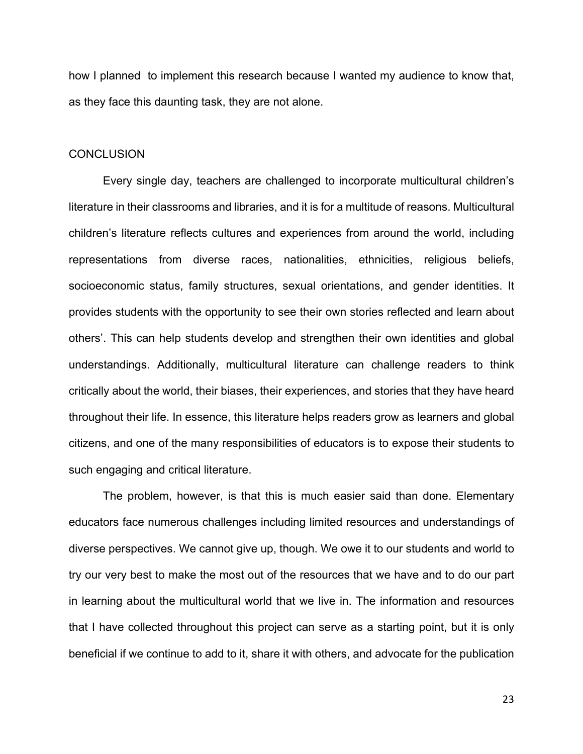how I planned to implement this research because I wanted my audience to know that, as they face this daunting task, they are not alone.

#### **CONCLUSION**

Every single day, teachers are challenged to incorporate multicultural children's literature in their classrooms and libraries, and it is for a multitude of reasons. Multicultural children's literature reflects cultures and experiences from around the world, including representations from diverse races, nationalities, ethnicities, religious beliefs, socioeconomic status, family structures, sexual orientations, and gender identities. It provides students with the opportunity to see their own stories reflected and learn about others'. This can help students develop and strengthen their own identities and global understandings. Additionally, multicultural literature can challenge readers to think critically about the world, their biases, their experiences, and stories that they have heard throughout their life. In essence, this literature helps readers grow as learners and global citizens, and one of the many responsibilities of educators is to expose their students to such engaging and critical literature.

The problem, however, is that this is much easier said than done. Elementary educators face numerous challenges including limited resources and understandings of diverse perspectives. We cannot give up, though. We owe it to our students and world to try our very best to make the most out of the resources that we have and to do our part in learning about the multicultural world that we live in. The information and resources that I have collected throughout this project can serve as a starting point, but it is only beneficial if we continue to add to it, share it with others, and advocate for the publication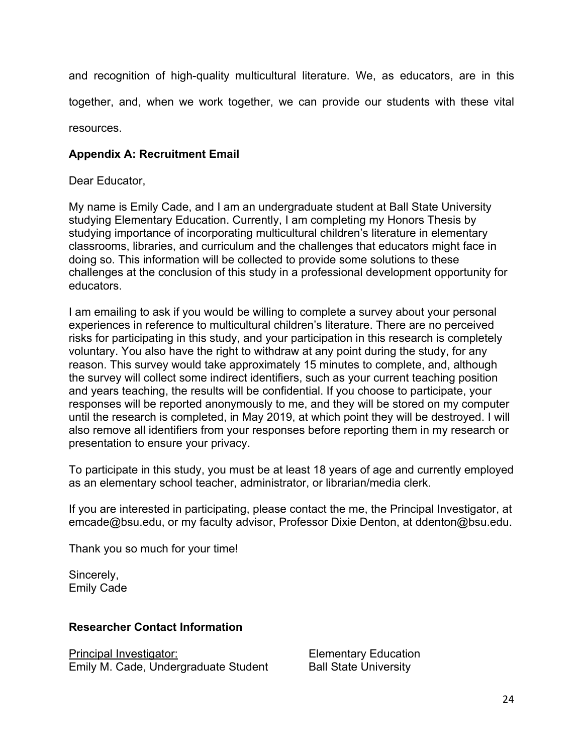and recognition of high-quality multicultural literature. We, as educators, are in this together, and, when we work together, we can provide our students with these vital

resources.

## **Appendix A: Recruitment Email**

Dear Educator,

My name is Emily Cade, and I am an undergraduate student at Ball State University studying Elementary Education. Currently, I am completing my Honors Thesis by studying importance of incorporating multicultural children's literature in elementary classrooms, libraries, and curriculum and the challenges that educators might face in doing so. This information will be collected to provide some solutions to these challenges at the conclusion of this study in a professional development opportunity for educators.

I am emailing to ask if you would be willing to complete a survey about your personal experiences in reference to multicultural children's literature. There are no perceived risks for participating in this study, and your participation in this research is completely voluntary. You also have the right to withdraw at any point during the study, for any reason. This survey would take approximately 15 minutes to complete, and, although the survey will collect some indirect identifiers, such as your current teaching position and years teaching, the results will be confidential. If you choose to participate, your responses will be reported anonymously to me, and they will be stored on my computer until the research is completed, in May 2019, at which point they will be destroyed. I will also remove all identifiers from your responses before reporting them in my research or presentation to ensure your privacy.

To participate in this study, you must be at least 18 years of age and currently employed as an elementary school teacher, administrator, or librarian/media clerk.

If you are interested in participating, please contact the me, the Principal Investigator, at emcade@bsu.edu, or my faculty advisor, Professor Dixie Denton, at ddenton@bsu.edu.

Thank you so much for your time!

Sincerely, Emily Cade

#### **Researcher Contact Information**

Principal Investigator: Emily M. Cade, Undergraduate Student

Elementary Education Ball State University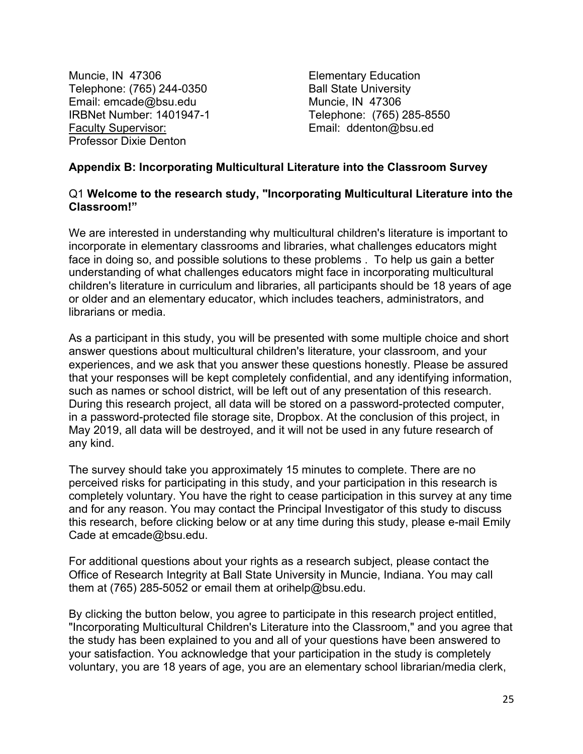Muncie, IN 47306 Telephone: (765) 244-0350 Email: emcade@bsu.edu IRBNet Number: 1401947-1 Faculty Supervisor: Professor Dixie Denton

Elementary Education Ball State University Muncie, IN 47306 Telephone: (765) 285-8550 Email: ddenton@bsu.ed

#### **Appendix B: Incorporating Multicultural Literature into the Classroom Survey**

#### Q1 **Welcome to the research study, "Incorporating Multicultural Literature into the Classroom!"**

We are interested in understanding why multicultural children's literature is important to incorporate in elementary classrooms and libraries, what challenges educators might face in doing so, and possible solutions to these problems . To help us gain a better understanding of what challenges educators might face in incorporating multicultural children's literature in curriculum and libraries, all participants should be 18 years of age or older and an elementary educator, which includes teachers, administrators, and librarians or media.

As a participant in this study, you will be presented with some multiple choice and short answer questions about multicultural children's literature, your classroom, and your experiences, and we ask that you answer these questions honestly. Please be assured that your responses will be kept completely confidential, and any identifying information, such as names or school district, will be left out of any presentation of this research. During this research project, all data will be stored on a password-protected computer, in a password-protected file storage site, Dropbox. At the conclusion of this project, in May 2019, all data will be destroyed, and it will not be used in any future research of any kind.

The survey should take you approximately 15 minutes to complete. There are no perceived risks for participating in this study, and your participation in this research is completely voluntary. You have the right to cease participation in this survey at any time and for any reason. You may contact the Principal Investigator of this study to discuss this research, before clicking below or at any time during this study, please e-mail Emily Cade at emcade@bsu.edu.

For additional questions about your rights as a research subject, please contact the Office of Research Integrity at Ball State University in Muncie, Indiana. You may call them at (765) 285-5052 or email them at orihelp@bsu.edu.

By clicking the button below, you agree to participate in this research project entitled, "Incorporating Multicultural Children's Literature into the Classroom," and you agree that the study has been explained to you and all of your questions have been answered to your satisfaction. You acknowledge that your participation in the study is completely voluntary, you are 18 years of age, you are an elementary school librarian/media clerk,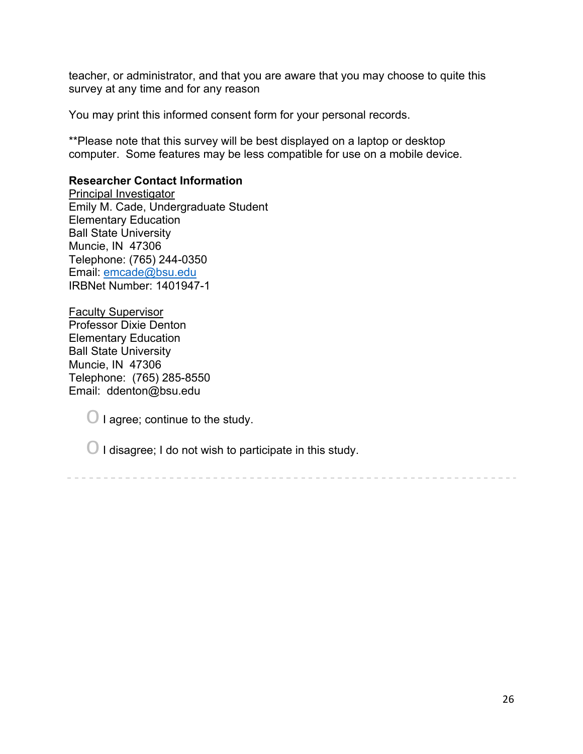teacher, or administrator, and that you are aware that you may choose to quite this survey at any time and for any reason

You may print this informed consent form for your personal records.

\*\*Please note that this survey will be best displayed on a laptop or desktop computer. Some features may be less compatible for use on a mobile device.

#### **Researcher Contact Information**

Principal Investigator Emily M. Cade, Undergraduate Student Elementary Education Ball State University Muncie, IN 47306 Telephone: (765) 244-0350 Email: emcade@bsu.edu IRBNet Number: 1401947-1

Faculty Supervisor Professor Dixie Denton Elementary Education Ball State University Muncie, IN 47306 Telephone: (765) 285-8550 Email: ddenton@bsu.edu

 $\bigcirc$  I agree; continue to the study.

 $\bigcirc$  I disagree; I do not wish to participate in this study.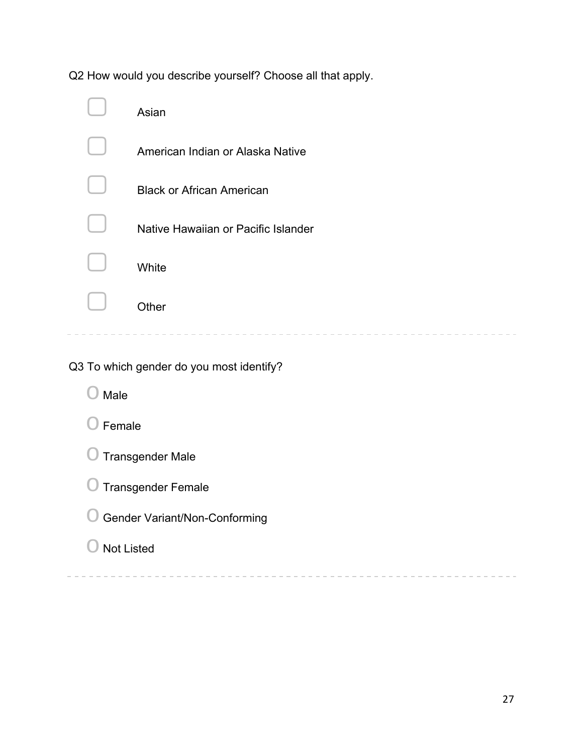Q2 How would you describe yourself? Choose all that apply.

| Asian                               |
|-------------------------------------|
| American Indian or Alaska Native    |
| <b>Black or African American</b>    |
| Native Hawaiian or Pacific Islander |
| White                               |
| Other                               |
|                                     |

Q3 To which gender do you most identify?

 $\bigcirc$  Male

| ◯ Transgender Female |
|----------------------|
|                      |

- O Gender Variant/Non-Conforming
- $\bigcirc$  Not Listed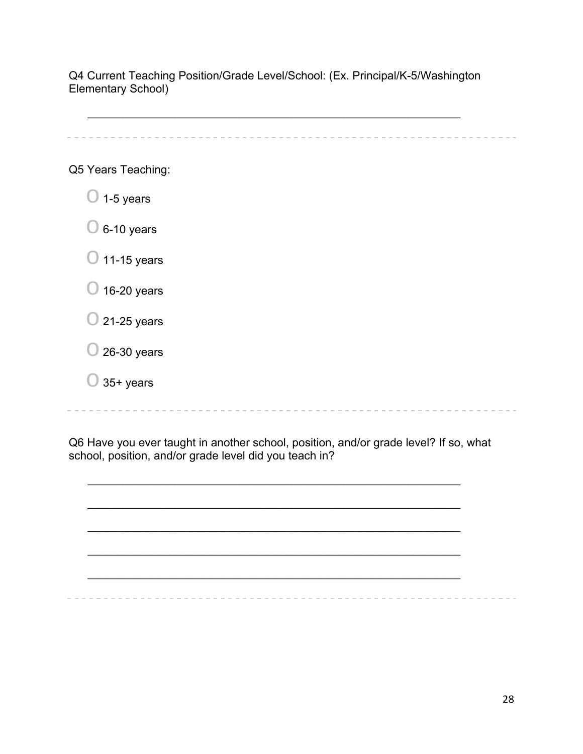Q4 Current Teaching Position/Grade Level/School: (Ex. Principal/K-5/Washington Elementary School)

 $\_$ 

Q5 Years Teaching:

- $\bigcirc$  1-5 years
- $\bigcirc$  6-10 years
- $\bigcirc$  11-15 years
- $\bigcirc$  16-20 years
- $\bigcirc$  21-25 years
- $\bigcirc$  26-30 years
- $\bigcirc$  35+ years

Q6 Have you ever taught in another school, position, and/or grade level? If so, what school, position, and/or grade level did you teach in?

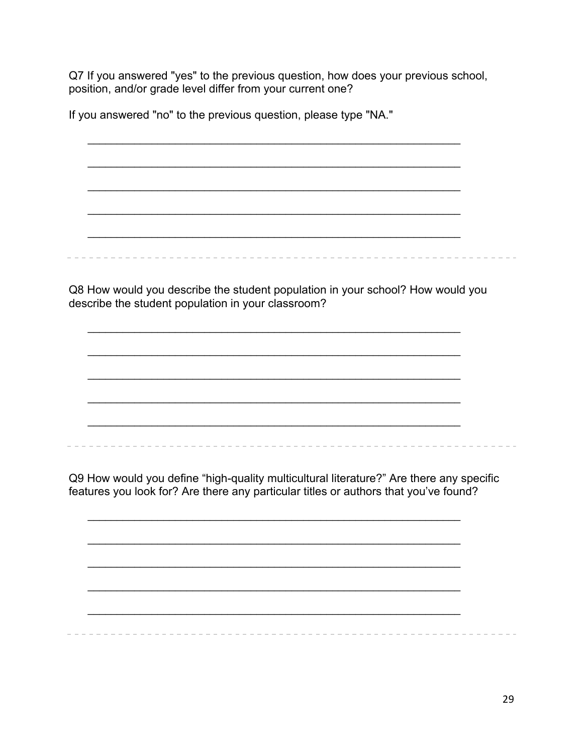Q7 If you answered "yes" to the previous question, how does your previous school, position, and/or grade level differ from your current one?

If you answered "no" to the previous question, please type "NA."

Q8 How would you describe the student population in your school? How would you describe the student population in your classroom?

Q9 How would you define "high-quality multicultural literature?" Are there any specific features you look for? Are there any particular titles or authors that you've found?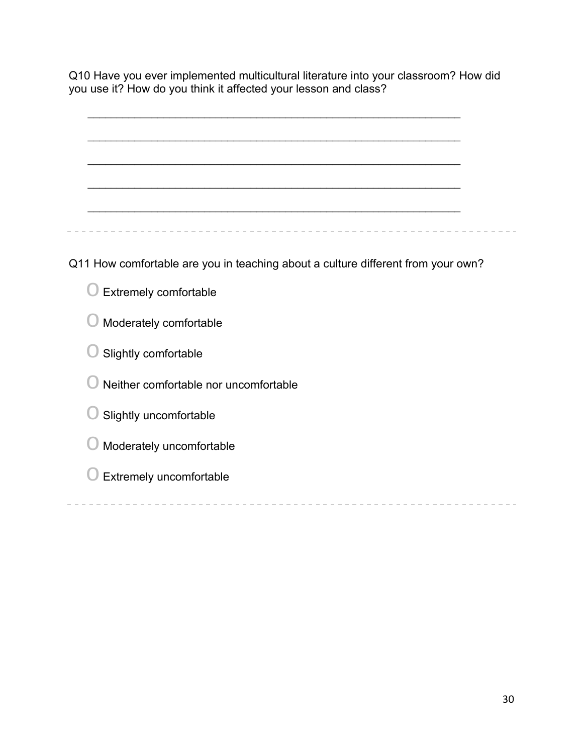Q10 Have you ever implemented multicultural literature into your classroom? How did you use it? How do you think it affected your lesson and class?

| Q11 How comfortable are you in teaching about a culture different from your own? |  |
|----------------------------------------------------------------------------------|--|
| Extremely comfortable                                                            |  |
| Moderately comfortable                                                           |  |
| Slightly comfortable                                                             |  |
| Neither comfortable nor uncomfortable                                            |  |
| Slightly uncomfortable                                                           |  |
| Moderately uncomfortable                                                         |  |
| Extremely uncomfortable                                                          |  |
|                                                                                  |  |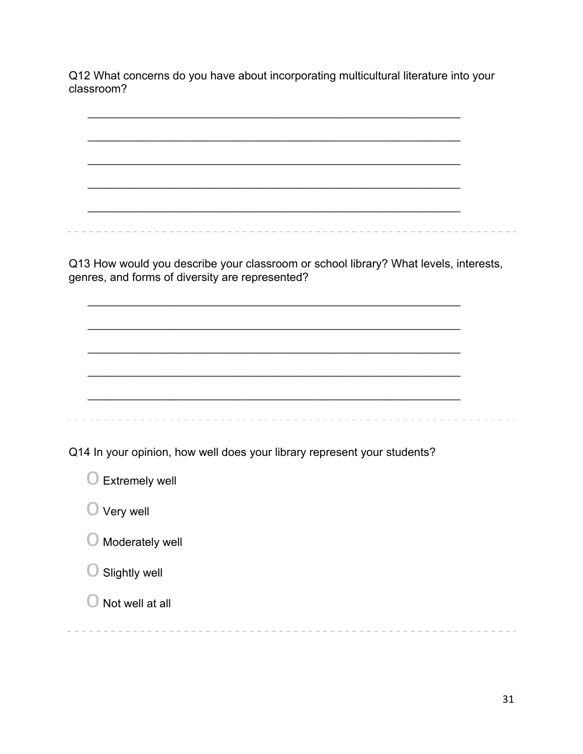Q12 What concerns do you have about incorporating multicultural literature into your classroom?

| Q13 How would you describe your classroom or school library? What levels, interests,<br>genres, and forms of diversity are represented? |  |
|-----------------------------------------------------------------------------------------------------------------------------------------|--|
|                                                                                                                                         |  |
|                                                                                                                                         |  |
|                                                                                                                                         |  |
|                                                                                                                                         |  |
|                                                                                                                                         |  |
| Q14 In your opinion, how well does your library represent your students?                                                                |  |
| <b>Extremely well</b>                                                                                                                   |  |
| Very well                                                                                                                               |  |
| Moderately well                                                                                                                         |  |
| Slightly well                                                                                                                           |  |
| Not well at all                                                                                                                         |  |
|                                                                                                                                         |  |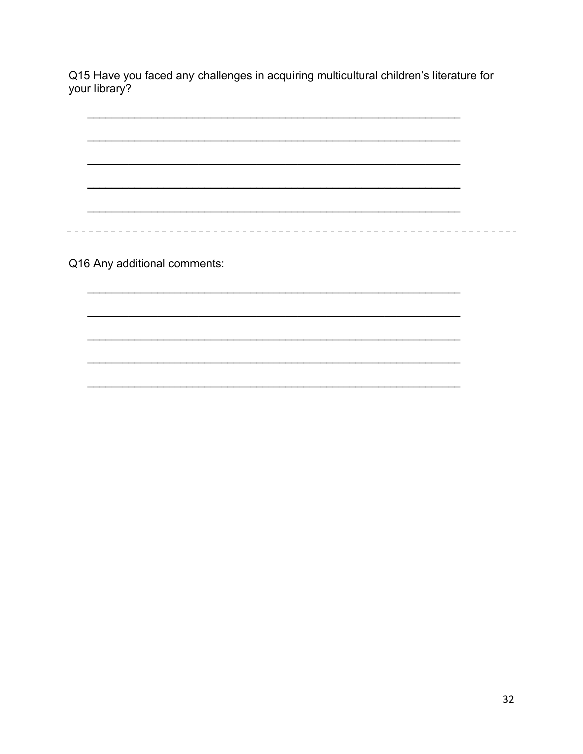Q15 Have you faced any challenges in acquiring multicultural children's literature for your library?

Q16 Any additional comments:

÷.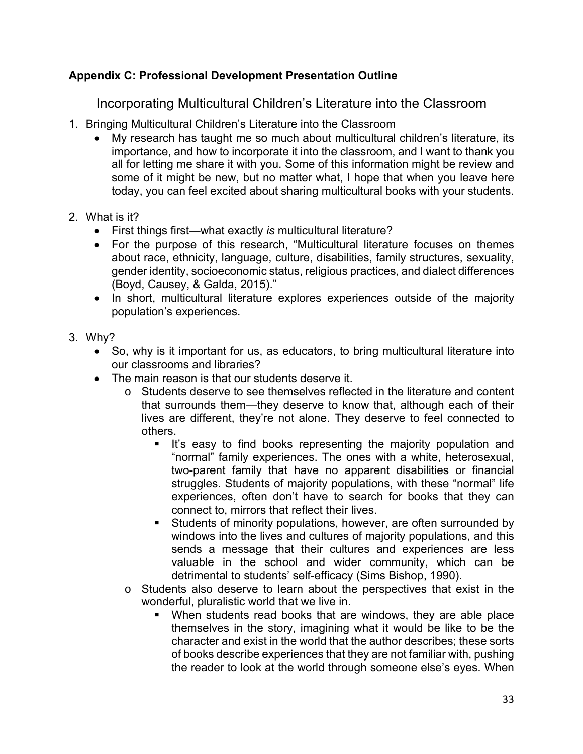## **Appendix C: Professional Development Presentation Outline**

Incorporating Multicultural Children's Literature into the Classroom

- 1. Bringing Multicultural Children's Literature into the Classroom
	- My research has taught me so much about multicultural children's literature, its importance, and how to incorporate it into the classroom, and I want to thank you all for letting me share it with you. Some of this information might be review and some of it might be new, but no matter what, I hope that when you leave here today, you can feel excited about sharing multicultural books with your students.
- 2. What is it?
	- First things first—what exactly *is* multicultural literature?
	- For the purpose of this research, "Multicultural literature focuses on themes about race, ethnicity, language, culture, disabilities, family structures, sexuality, gender identity, socioeconomic status, religious practices, and dialect differences (Boyd, Causey, & Galda, 2015)."
	- In short, multicultural literature explores experiences outside of the majority population's experiences.
- 3. Why?
	- So, why is it important for us, as educators, to bring multicultural literature into our classrooms and libraries?
	- The main reason is that our students deserve it.
		- o Students deserve to see themselves reflected in the literature and content that surrounds them—they deserve to know that, although each of their lives are different, they're not alone. They deserve to feel connected to others.
			- It's easy to find books representing the majority population and "normal" family experiences. The ones with a white, heterosexual, two-parent family that have no apparent disabilities or financial struggles. Students of majority populations, with these "normal" life experiences, often don't have to search for books that they can connect to, mirrors that reflect their lives.
			- Students of minority populations, however, are often surrounded by windows into the lives and cultures of majority populations, and this sends a message that their cultures and experiences are less valuable in the school and wider community, which can be detrimental to students' self-efficacy (Sims Bishop, 1990).
		- o Students also deserve to learn about the perspectives that exist in the wonderful, pluralistic world that we live in.
			- When students read books that are windows, they are able place themselves in the story, imagining what it would be like to be the character and exist in the world that the author describes; these sorts of books describe experiences that they are not familiar with, pushing the reader to look at the world through someone else's eyes. When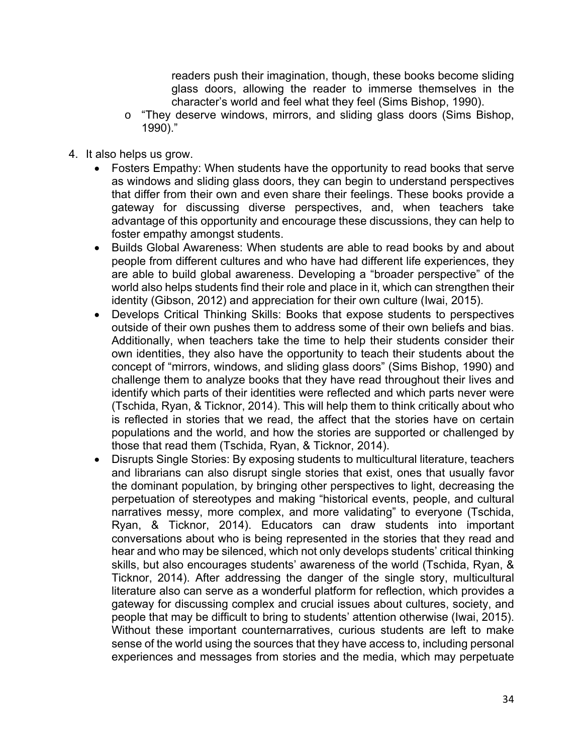readers push their imagination, though, these books become sliding glass doors, allowing the reader to immerse themselves in the character's world and feel what they feel (Sims Bishop, 1990).

- o "They deserve windows, mirrors, and sliding glass doors (Sims Bishop, 1990)."
- 4. It also helps us grow.
	- Fosters Empathy: When students have the opportunity to read books that serve as windows and sliding glass doors, they can begin to understand perspectives that differ from their own and even share their feelings. These books provide a gateway for discussing diverse perspectives, and, when teachers take advantage of this opportunity and encourage these discussions, they can help to foster empathy amongst students.
	- Builds Global Awareness: When students are able to read books by and about people from different cultures and who have had different life experiences, they are able to build global awareness. Developing a "broader perspective" of the world also helps students find their role and place in it, which can strengthen their identity (Gibson, 2012) and appreciation for their own culture (Iwai, 2015).
	- Develops Critical Thinking Skills: Books that expose students to perspectives outside of their own pushes them to address some of their own beliefs and bias. Additionally, when teachers take the time to help their students consider their own identities, they also have the opportunity to teach their students about the concept of "mirrors, windows, and sliding glass doors" (Sims Bishop, 1990) and challenge them to analyze books that they have read throughout their lives and identify which parts of their identities were reflected and which parts never were (Tschida, Ryan, & Ticknor, 2014). This will help them to think critically about who is reflected in stories that we read, the affect that the stories have on certain populations and the world, and how the stories are supported or challenged by those that read them (Tschida, Ryan, & Ticknor, 2014).
	- Disrupts Single Stories: By exposing students to multicultural literature, teachers and librarians can also disrupt single stories that exist, ones that usually favor the dominant population, by bringing other perspectives to light, decreasing the perpetuation of stereotypes and making "historical events, people, and cultural narratives messy, more complex, and more validating" to everyone (Tschida, Ryan, & Ticknor, 2014). Educators can draw students into important conversations about who is being represented in the stories that they read and hear and who may be silenced, which not only develops students' critical thinking skills, but also encourages students' awareness of the world (Tschida, Ryan, & Ticknor, 2014). After addressing the danger of the single story, multicultural literature also can serve as a wonderful platform for reflection, which provides a gateway for discussing complex and crucial issues about cultures, society, and people that may be difficult to bring to students' attention otherwise (Iwai, 2015). Without these important counternarratives, curious students are left to make sense of the world using the sources that they have access to, including personal experiences and messages from stories and the media, which may perpetuate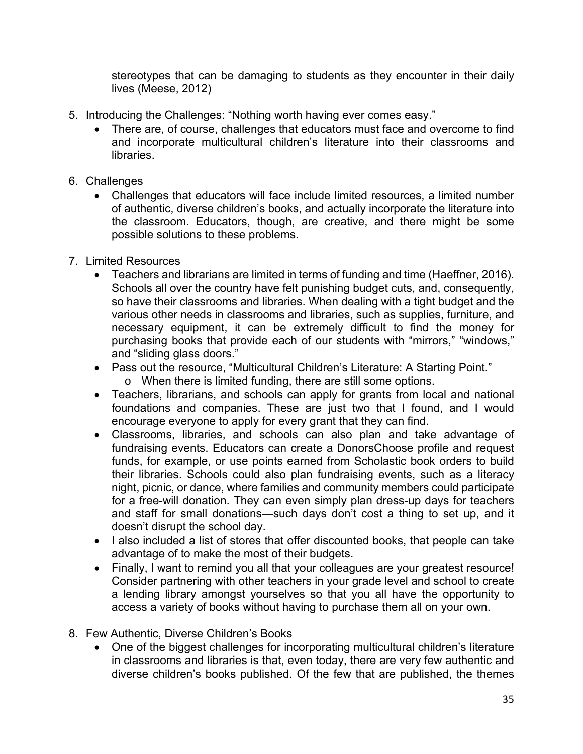stereotypes that can be damaging to students as they encounter in their daily lives (Meese, 2012)

- 5. Introducing the Challenges: "Nothing worth having ever comes easy."
	- There are, of course, challenges that educators must face and overcome to find and incorporate multicultural children's literature into their classrooms and libraries.
- 6. Challenges
	- Challenges that educators will face include limited resources, a limited number of authentic, diverse children's books, and actually incorporate the literature into the classroom. Educators, though, are creative, and there might be some possible solutions to these problems.
- 7. Limited Resources
	- Teachers and librarians are limited in terms of funding and time (Haeffner, 2016). Schools all over the country have felt punishing budget cuts, and, consequently, so have their classrooms and libraries. When dealing with a tight budget and the various other needs in classrooms and libraries, such as supplies, furniture, and necessary equipment, it can be extremely difficult to find the money for purchasing books that provide each of our students with "mirrors," "windows," and "sliding glass doors."
	- Pass out the resource, "Multicultural Children's Literature: A Starting Point."
		- o When there is limited funding, there are still some options.
	- Teachers, librarians, and schools can apply for grants from local and national foundations and companies. These are just two that I found, and I would encourage everyone to apply for every grant that they can find.
	- Classrooms, libraries, and schools can also plan and take advantage of fundraising events. Educators can create a DonorsChoose profile and request funds, for example, or use points earned from Scholastic book orders to build their libraries. Schools could also plan fundraising events, such as a literacy night, picnic, or dance, where families and community members could participate for a free-will donation. They can even simply plan dress-up days for teachers and staff for small donations—such days don't cost a thing to set up, and it doesn't disrupt the school day.
	- I also included a list of stores that offer discounted books, that people can take advantage of to make the most of their budgets.
	- Finally, I want to remind you all that your colleagues are your greatest resource! Consider partnering with other teachers in your grade level and school to create a lending library amongst yourselves so that you all have the opportunity to access a variety of books without having to purchase them all on your own.
- 8. Few Authentic, Diverse Children's Books
	- One of the biggest challenges for incorporating multicultural children's literature in classrooms and libraries is that, even today, there are very few authentic and diverse children's books published. Of the few that are published, the themes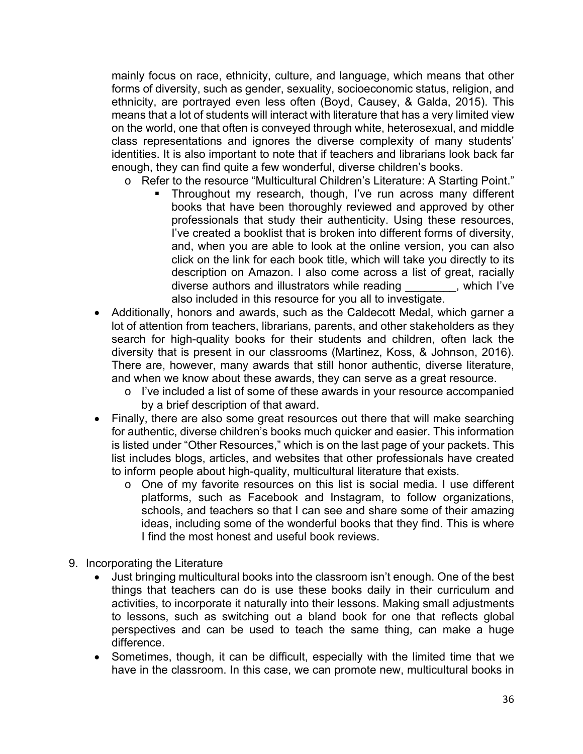mainly focus on race, ethnicity, culture, and language, which means that other forms of diversity, such as gender, sexuality, socioeconomic status, religion, and ethnicity, are portrayed even less often (Boyd, Causey, & Galda, 2015). This means that a lot of students will interact with literature that has a very limited view on the world, one that often is conveyed through white, heterosexual, and middle class representations and ignores the diverse complexity of many students' identities. It is also important to note that if teachers and librarians look back far enough, they can find quite a few wonderful, diverse children's books.

- o Refer to the resource "Multicultural Children's Literature: A Starting Point."
	- Throughout my research, though, I've run across many different books that have been thoroughly reviewed and approved by other professionals that study their authenticity. Using these resources, I've created a booklist that is broken into different forms of diversity, and, when you are able to look at the online version, you can also click on the link for each book title, which will take you directly to its description on Amazon. I also come across a list of great, racially diverse authors and illustrators while reading \_\_\_\_\_\_\_\_, which I've also included in this resource for you all to investigate.
- Additionally, honors and awards, such as the Caldecott Medal, which garner a lot of attention from teachers, librarians, parents, and other stakeholders as they search for high-quality books for their students and children, often lack the diversity that is present in our classrooms (Martinez, Koss, & Johnson, 2016). There are, however, many awards that still honor authentic, diverse literature, and when we know about these awards, they can serve as a great resource.
	- o I've included a list of some of these awards in your resource accompanied by a brief description of that award.
- Finally, there are also some great resources out there that will make searching for authentic, diverse children's books much quicker and easier. This information is listed under "Other Resources," which is on the last page of your packets. This list includes blogs, articles, and websites that other professionals have created to inform people about high-quality, multicultural literature that exists.
	- o One of my favorite resources on this list is social media. I use different platforms, such as Facebook and Instagram, to follow organizations, schools, and teachers so that I can see and share some of their amazing ideas, including some of the wonderful books that they find. This is where I find the most honest and useful book reviews.
- 9. Incorporating the Literature
	- Just bringing multicultural books into the classroom isn't enough. One of the best things that teachers can do is use these books daily in their curriculum and activities, to incorporate it naturally into their lessons. Making small adjustments to lessons, such as switching out a bland book for one that reflects global perspectives and can be used to teach the same thing, can make a huge difference.
	- Sometimes, though, it can be difficult, especially with the limited time that we have in the classroom. In this case, we can promote new, multicultural books in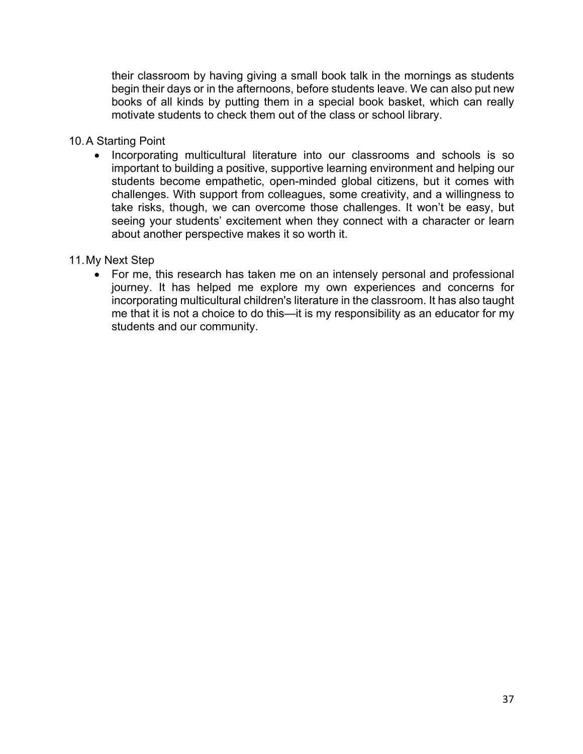their classroom by having giving a small book talk in the mornings as students begin their days or in the afternoons, before students leave. We can also put new books of all kinds by putting them in a special book basket, which can really motivate students to check them out of the class or school library.

#### 10. A Starting Point

• Incorporating multicultural literature into our classrooms and schools is so important to building a positive, supportive learning environment and helping our students become empathetic, open-minded global citizens, but it comes with challenges. With support from colleagues, some creativity, and a willingness to take risks, though, we can overcome those challenges. It won't be easy, but seeing your students' excitement when they connect with a character or learn about another perspective makes it so worth it.

#### 11. My Next Step

• For me, this research has taken me on an intensely personal and professional journey. It has helped me explore my own experiences and concerns for incorporating multicultural children's literature in the classroom. It has also taught me that it is not a choice to do this—it is my responsibility as an educator for my students and our community.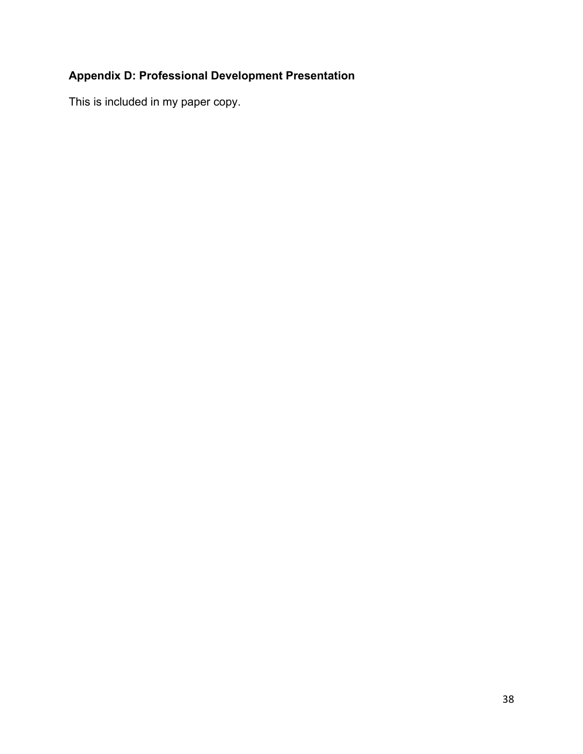## **Appendix D: Professional Development Presentation**

This is included in my paper copy.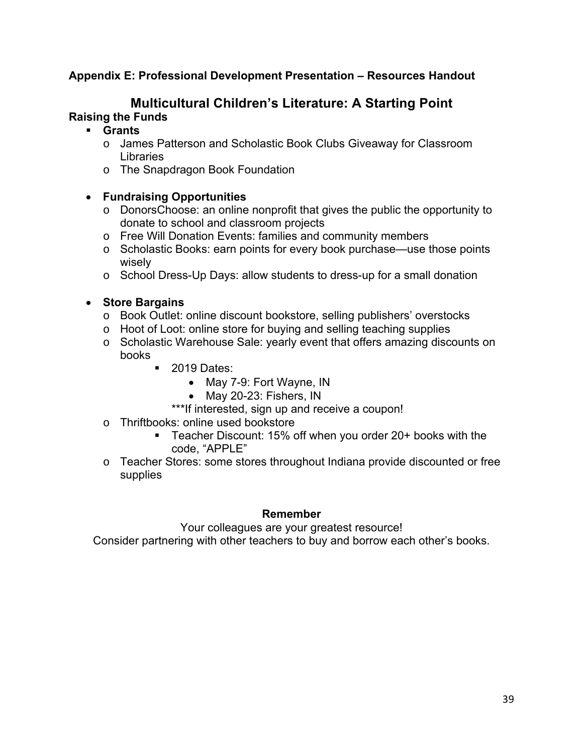## **Appendix E: Professional Development Presentation – Resources Handout**

# **Multicultural Children's Literature: A Starting Point**

## **Raising the Funds**

## § **Grants**

- o James Patterson and Scholastic Book Clubs Giveaway for Classroom **Libraries**
- o The Snapdragon Book Foundation

### • **Fundraising Opportunities**

- o DonorsChoose: an online nonprofit that gives the public the opportunity to donate to school and classroom projects
- o Free Will Donation Events: families and community members
- o Scholastic Books: earn points for every book purchase—use those points wisely
- o School Dress-Up Days: allow students to dress-up for a small donation

### • **Store Bargains**

- o Book Outlet: online discount bookstore, selling publishers' overstocks
- o Hoot of Loot: online store for buying and selling teaching supplies
- o Scholastic Warehouse Sale: yearly event that offers amazing discounts on books
	- 2019 Dates:
		- May 7-9: Fort Wayne, IN
		- May 20-23: Fishers, IN
		- \*\*\*If interested, sign up and receive a coupon!
- o Thriftbooks: online used bookstore
	- Teacher Discount: 15% off when you order 20+ books with the code, "APPLE"
- o Teacher Stores: some stores throughout Indiana provide discounted or free supplies

#### **Remember**

Your colleagues are your greatest resource!

Consider partnering with other teachers to buy and borrow each other's books.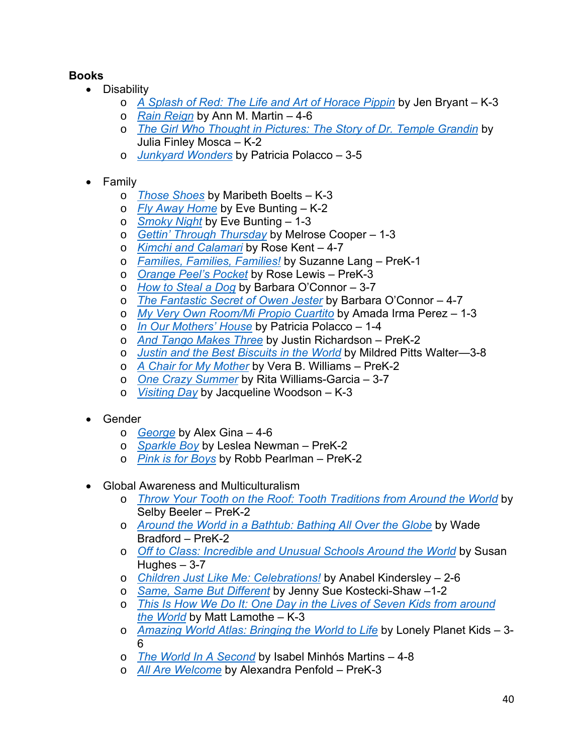## **Books**

- Disability
	- o *A Splash of Red: The Life and Art of Horace Pippin* by Jen Bryant K-3
	- o *Rain Reign* by Ann M. Martin 4-6
	- o *The Girl Who Thought in Pictures: The Story of Dr. Temple Grandin* by Julia Finley Mosca – K-2
	- o *Junkyard Wonders* by Patricia Polacco 3-5
- Family
	- o *Those Shoes* by Maribeth Boelts K-3
	- o *Fly Away Home* by Eve Bunting K-2
	- o *Smoky Night* by Eve Bunting 1-3
	- o *Gettin' Through Thursday* by Melrose Cooper 1-3
	- o *Kimchi and Calamari* by Rose Kent 4-7
	- o *Families, Families, Families!* by Suzanne Lang PreK-1
	- o *Orange Peel's Pocket* by Rose Lewis PreK-3
	- o *How to Steal a Dog* by Barbara O'Connor 3-7
	- o *The Fantastic Secret of Owen Jester* by Barbara O'Connor 4-7
	- o *My Very Own Room/Mi Propio Cuartito* by Amada Irma Perez 1-3
	- o *In Our Mothers' House* by Patricia Polacco 1-4
	- o *And Tango Makes Three* by Justin Richardson PreK-2
	- o *Justin and the Best Biscuits in the World* by Mildred Pitts Walter—3-8
	- o *A Chair for My Mother* by Vera B. Williams PreK-2
	- o *One Crazy Summer* by Rita Williams-Garcia 3-7
	- o *Visiting Day* by Jacqueline Woodson K-3
- Gender
	- o *George* by Alex Gina 4-6
	- o *Sparkle Boy* by Leslea Newman PreK-2
	- o *Pink is for Boys* by Robb Pearlman PreK-2
- Global Awareness and Multiculturalism
	- o *Throw Your Tooth on the Roof: Tooth Traditions from Around the World* by Selby Beeler – PreK-2
	- o *Around the World in a Bathtub: Bathing All Over the Globe* by Wade Bradford – PreK-2
	- o *Off to Class: Incredible and Unusual Schools Around the World* by Susan Hughes  $-3-7$
	- o *Children Just Like Me: Celebrations!* by Anabel Kindersley 2-6
	- o *Same, Same But Different* by Jenny Sue Kostecki-Shaw –1-2
	- o *This Is How We Do It: One Day in the Lives of Seven Kids from around the World* by Matt Lamothe – K-3
	- o *Amazing World Atlas: Bringing the World to Life* by Lonely Planet Kids 3- 6
	- o *The World In A Second* by Isabel Minhós Martins 4-8
	- o *All Are Welcome* by Alexandra Penfold PreK-3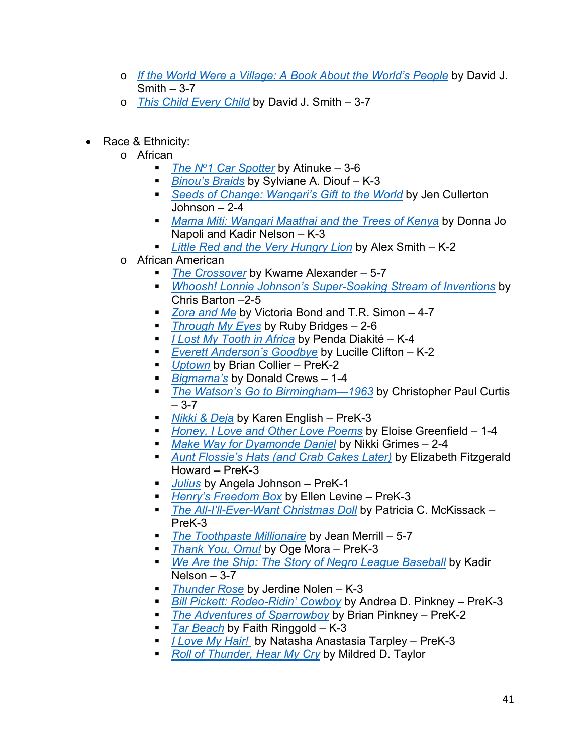- o *If the World Were a Village: A Book About the World's People* by David J.  $Smith - 3-7$
- o *This Child Every Child* by David J. Smith 3-7
- Race & Ethnicity:
	- o African
		- *The N<sup>o</sup>1 Car Spotter* by Atinuke 3-6
		- *Binou's Braids* by Sylviane A. Diouf K-3
		- Seeds of Change: Wangari's Gift to the World by Jen Cullerton  $Johnson - 2-4$
		- § *Mama Miti: Wangari Maathai and the Trees of Kenya* by Donna Jo Napoli and Kadir Nelson - K-3
		- § *Little Red and the Very Hungry Lion* by Alex Smith K-2
	- o African American
		- *The Crossover* by Kwame Alexander 5-7
		- § *Whoosh! Lonnie Johnson's Super-Soaking Stream of Inventions* by Chris Barton –2-5
		- *Zora and Me by Victoria Bond and T.R. Simon 4-7*
		- *Through My Eyes* by Ruby Bridges 2-6
		- § *I Lost My Tooth in Africa* by Penda Diakité K-4
		- *Everett Anderson's Goodbye* by Lucille Clifton K-2
		- *Uptown* by Brian Collier PreK-2
		- *Bigmama's* by Donald Crews 1-4
		- *The Watson's Go to Birmingham—1963* by Christopher Paul Curtis  $-3-7$
		- *Nikki & Deja* by Karen English PreK-3
		- *Honey, I Love and Other Love Poems* by Eloise Greenfield 1-4
		- *Make Way for Dyamonde Daniel* by Nikki Grimes 2-4
		- § *Aunt Flossie's Hats (and Crab Cakes Later)* by Elizabeth Fitzgerald Howard – PreK-3
		- § *Julius* by Angela Johnson PreK-1
		- § *Henry's Freedom Box* by Ellen Levine PreK-3
		- *The All-I'll-Ever-Want Christmas Doll* by Patricia C. McKissack PreK-3
		- § *The Toothpaste Millionaire* by Jean Merrill 5-7
		- *Thank You, Omu!* by Oge Mora PreK-3
		- *We Are the Ship: The Story of Negro League Baseball by Kadir* Nelson – 3-7
		- § *Thunder Rose* by Jerdine Nolen K-3
		- § *Bill Pickett: Rodeo-Ridin' Cowboy* by Andrea D. Pinkney PreK-3
		- *The Adventures of Sparrowboy* by Brian Pinkney PreK-2
		- *Tar Beach* by Faith Ringgold K-3
		- *I Love My Hair!* by Natasha Anastasia Tarpley PreK-3
		- *Roll of Thunder, Hear My Cry* by Mildred D. Taylor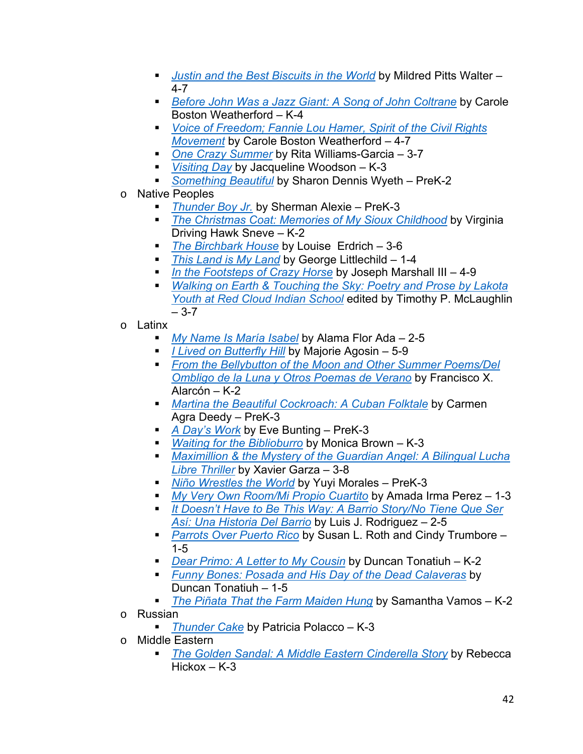- *Justin and the Best Biscuits in the World* by Mildred Pitts Walter 4-7
- *Before John Was a Jazz Giant: A Song of John Coltrane by Carole* Boston Weatherford – K-4
- § *Voice of Freedom; Fannie Lou Hamer, Spirit of the Civil Rights Movement* by Carole Boston Weatherford – 4-7
- One Crazy Summer by Rita Williams-Garcia 3-7
- *Visiting Day* by Jacqueline Woodson K-3
- *Something Beautiful* by Sharon Dennis Wyeth PreK-2
- o Native Peoples
	- *Thunder Boy Jr.* by Sherman Alexie PreK-3
	- § *The Christmas Coat: Memories of My Sioux Childhood* by Virginia Driving Hawk Sneve – K-2
	- *The Birchbark House* by Louise Erdrich 3-6
	- *This Land is My Land by George Littlechild 1-4*
	- § *In the Footsteps of Crazy Horse* by Joseph Marshall III 4-9
	- § *Walking on Earth & Touching the Sky: Poetry and Prose by Lakota Youth at Red Cloud Indian School* edited by Timothy P. McLaughlin  $-3-7$
- o Latinx
	- § *My Name Is María Isabel* by Alama Flor Ada 2-5
	- *I Lived on Butterfly Hill* by Majorie Agosin 5-9
	- § *From the Bellybutton of the Moon and Other Summer Poems/Del Ombligo de la Luna y Otros Poemas de Verano* by Francisco X. Alarcón – K-2
	- *Martina the Beautiful Cockroach: A Cuban Folktale by Carmen* Agra Deedy – PreK-3
	- *A Day's Work* by Eve Bunting PreK-3
	- *Waiting for the Biblioburro* by Monica Brown K-3
	- § *Maximillion & the Mystery of the Guardian Angel: A Bilingual Lucha Libre Thriller* by Xavier Garza – 3-8
	- § *Niño Wrestles the World* by Yuyi Morales PreK-3
	- § *My Very Own Room/Mi Propio Cuartito* by Amada Irma Perez 1-3
	- *It Doesn't Have to Be This Way: A Barrio Story/No Tiene Que Ser Así: Una Historia Del Barrio* by Luis J. Rodriguez – 2-5
	- *Parrots Over Puerto Rico* by Susan L. Roth and Cindy Trumbore 1-5
	- § *Dear Primo: A Letter to My Cousin* by Duncan Tonatiuh K-2
	- § *Funny Bones: Posada and His Day of the Dead Calaveras* by Duncan Tonatiuh – 1-5
	- *The Piñata That the Farm Maiden Hung* by Samantha Vamos K-2
- o Russian
	- § *Thunder Cake* by Patricia Polacco K-3
- o Middle Eastern
	- **The Golden Sandal: A Middle Eastern Cinderella Story by Rebecca**  $Hickox - K-3$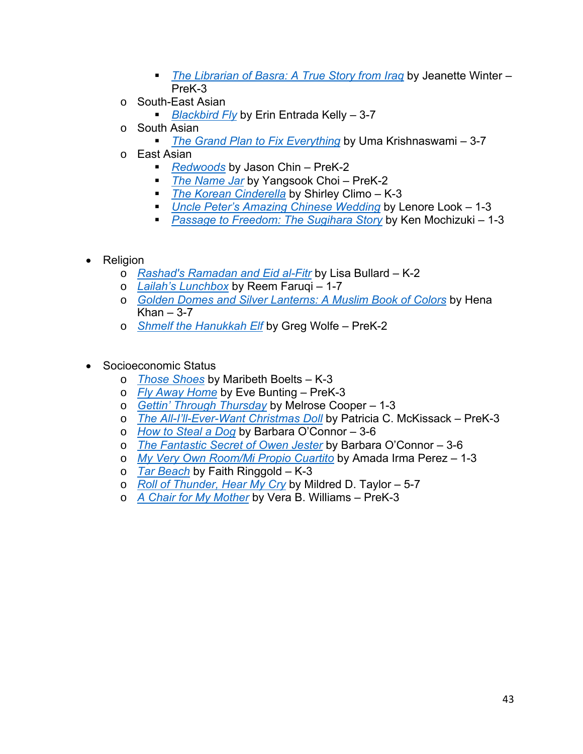- § *The Librarian of Basra: A True Story from Iraq* by Jeanette Winter PreK-3
- o South-East Asian
	- *Blackbird Fly* by Erin Entrada Kelly 3-7
- o South Asian
	- *The Grand Plan to Fix Everything* by Uma Krishnaswami 3-7
- o East Asian
	- *Redwoods* by Jason Chin PreK-2
	- *The Name Jar* by Yangsook Choi PreK-2
	- *The Korean Cinderella* by Shirley Climo K-3
	- *Uncle Peter's Amazing Chinese Wedding* by Lenore Look 1-3
	- § *Passage to Freedom: The Sugihara Story* by Ken Mochizuki 1-3
- Religion
	- o *Rashad's Ramadan and Eid al-Fitr* by Lisa Bullard K-2
	- o *Lailah's Lunchbox* by Reem Faruqi 1-7
	- o *Golden Domes and Silver Lanterns: A Muslim Book of Colors* by Hena Khan  $-3-7$
	- o *Shmelf the Hanukkah Elf* by Greg Wolfe PreK-2
- Socioeconomic Status
	- o *Those Shoes* by Maribeth Boelts K-3
	- o *Fly Away Home* by Eve Bunting PreK-3
	- o *Gettin' Through Thursday* by Melrose Cooper 1-3
	- o *The All-I'll-Ever-Want Christmas Doll* by Patricia C. McKissack PreK-3
	- o *How to Steal a Dog* by Barbara O'Connor 3-6
	- o *The Fantastic Secret of Owen Jester* by Barbara O'Connor 3-6
	- o *My Very Own Room/Mi Propio Cuartito* by Amada Irma Perez 1-3
	- o *Tar Beach* by Faith Ringgold K-3
	- o *Roll of Thunder, Hear My Cry* by Mildred D. Taylor 5-7
	- o *A Chair for My Mother* by Vera B. Williams PreK-3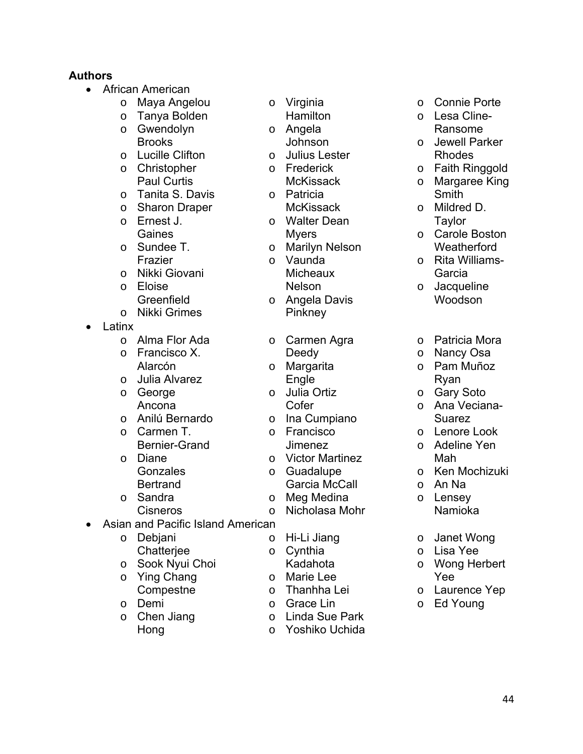## **Authors**

- African American
	- o Maya Angelou
	- o Tanya Bolden
	- o Gwendolyn Brooks
	- o Lucille Clifton o Christopher
	- Paul Curtis
	- o Tanita S. Davis
	- o Sharon Draper
	- o Ernest J. Gaines
	- o Sundee T. Frazier
	- o Nikki Giovani
	- o Eloise **Greenfield**
	- o Nikki Grimes
- Latinx
	- o Alma Flor Ada
	- o Francisco X. Alarcón
	- o Julia Alvarez
	- o George Ancona
	- o Anilú Bernardo
	- o Carmen T. Bernier-Grand
	- o Diane **Gonzales Bertrand**
	- o Sandra Cisneros
- Asian and Pacific Island American
	- o Debjani **Chatterjee**
	- o Sook Nyui Choi
	- o Ying Chang **Compestne**
	- o Demi
	- o Chen Jiang Hong
- o Virginia
- **Hamilton**
- o Angela Johnson
- o Julius Lester o Frederick
	- **McKissack**
- o Patricia
- **McKissack**
- o Walter Dean Myers
- o Marilyn Nelson o Vaunda **Micheaux** Nelson
- o Angela Davis
	- **Pinkney**
- o Carmen Agra Deedy
- o Margarita Engle
- o Julia Ortiz **Cofer**
- o Ina Cumpiano
- o Francisco
- Jimenez
- o Victor Martinez
- o Guadalupe Garcia McCall
- o Meg Medina
- o Nicholasa Mohr
- o Hi-Li Jiang
- o Cynthia
- Kadahota
- o Marie Lee
- o Thanhha Lei
- o Grace Lin
- o Linda Sue Park
- o Yoshiko Uchida
- o Connie Porte
- o Lesa Cline-Ransome
- o Jewell Parker Rhodes
- o Faith Ringgold
- o Margaree King Smith
- o Mildred D. **Taylor**
- o Carole Boston **Weatherford**
- o Rita Williams-Garcia
- o Jacqueline Woodson
- o Patricia Mora
- o Nancy Osa
- o Pam Muñoz Ryan
- o Gary Soto
- o Ana Veciana-Suarez
- o Lenore Look
- o Adeline Yen Mah
- o Ken Mochizuki
- o An Na
- o Lensey
- Namioka
- o Janet Wong
- o Lisa Yee
- o Wong Herbert Yee
- o Laurence Yep
- o Ed Young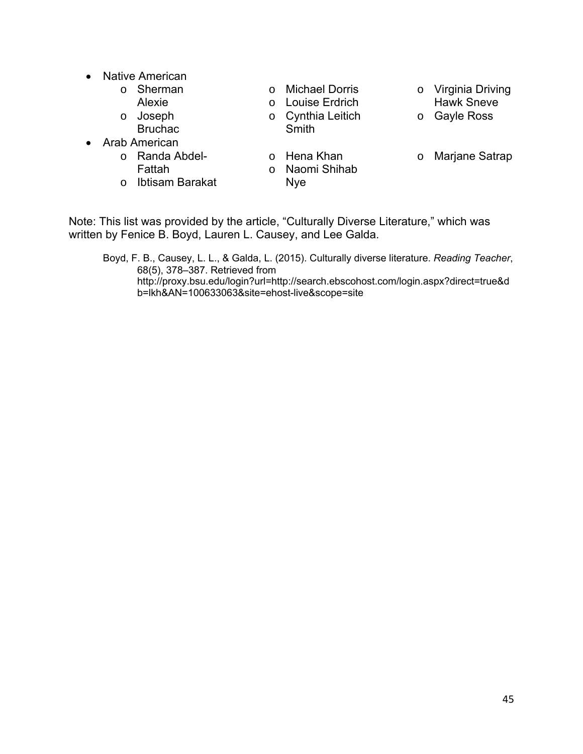- Native American
	- o Sherman Alexie
	- o Joseph Bruchac
- Arab American
	- o Randa Abdel-Fattah
	- o Ibtisam Barakat
- o Michael Dorris
- o Louise Erdrich o Cynthia Leitich
- Smith
- o Hena Khan
- o Naomi Shihab
- Nye
- o Virginia Driving Hawk Sneve
- o Gayle Ross
- o Marjane Satrap
- Note: This list was provided by the article, "Culturally Diverse Literature," which was written by Fenice B. Boyd, Lauren L. Causey, and Lee Galda.

Boyd, F. B., Causey, L. L., & Galda, L. (2015). Culturally diverse literature. *Reading Teacher*, 68(5), 378–387. Retrieved from http://proxy.bsu.edu/login?url=http://search.ebscohost.com/login.aspx?direct=true&d b=lkh&AN=100633063&site=ehost-live&scope=site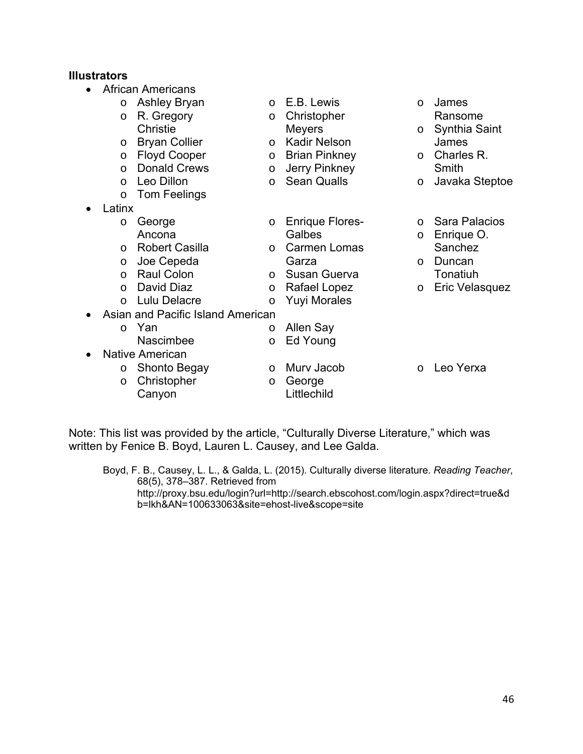# **Illustrators**

| <b>African Americans</b>          |                       |          |                        |          |                      |  |
|-----------------------------------|-----------------------|----------|------------------------|----------|----------------------|--|
| $\circ$                           | <b>Ashley Bryan</b>   | $\Omega$ | E.B. Lewis             | $\Omega$ | James                |  |
| $\circ$                           | R. Gregory            | O        | Christopher            |          | Ransome              |  |
|                                   | Christie              |          | <b>Meyers</b>          | $\circ$  | Synthia Saint        |  |
| O                                 | <b>Bryan Collier</b>  | $\circ$  | <b>Kadir Nelson</b>    |          | James                |  |
| O                                 | <b>Floyd Cooper</b>   | $\circ$  | <b>Brian Pinkney</b>   | $\circ$  | Charles R.           |  |
| $\circ$                           | <b>Donald Crews</b>   | O        | <b>Jerry Pinkney</b>   |          | Smith                |  |
| $\Omega$                          | Leo Dillon            | $\circ$  | <b>Sean Qualls</b>     | $\circ$  | Javaka Steptoe       |  |
| $\circ$                           | <b>Tom Feelings</b>   |          |                        |          |                      |  |
| Latinx                            |                       |          |                        |          |                      |  |
| $\circ$                           | George                | $\circ$  | <b>Enrique Flores-</b> | $\circ$  | <b>Sara Palacios</b> |  |
|                                   | Ancona                |          | Galbes                 | $\circ$  | Enrique O.           |  |
| $\circ$                           | <b>Robert Casilla</b> | $\circ$  | <b>Carmen Lomas</b>    |          | Sanchez              |  |
| $\circ$                           | Joe Cepeda            |          | Garza                  | $\circ$  | Duncan               |  |
| $\Omega$                          | <b>Raul Colon</b>     | $\Omega$ | Susan Guerva           |          | Tonatiuh             |  |
| $\Omega$                          | David Diaz            | O        | Rafael Lopez           | $\circ$  | Eric Velasquez       |  |
| $\Omega$                          | Lulu Delacre          | O        | <b>Yuyi Morales</b>    |          |                      |  |
| Asian and Pacific Island American |                       |          |                        |          |                      |  |
| $\Omega$                          | Yan                   | O        | Allen Say              |          |                      |  |
|                                   | <b>Nascimbee</b>      | O        | Ed Young               |          |                      |  |
| <b>Native American</b>            |                       |          |                        |          |                      |  |
| $\circ$                           | Shonto Begay          | $\Omega$ | Murv Jacob             | $\Omega$ | Leo Yerxa            |  |
| $\circ$                           | Christopher           | $\circ$  | George                 |          |                      |  |
|                                   | Canyon                |          | Littlechild            |          |                      |  |

Note: This list was provided by the article, "Culturally Diverse Literature," which was written by Fenice B. Boyd, Lauren L. Causey, and Lee Galda.

Boyd, F. B., Causey, L. L., & Galda, L. (2015). Culturally diverse literature. *Reading Teacher*, 68(5), 378–387. Retrieved from http://proxy.bsu.edu/login?url=http://search.ebscohost.com/login.aspx?direct=true&d b=lkh&AN=100633063&site=ehost-live&scope=site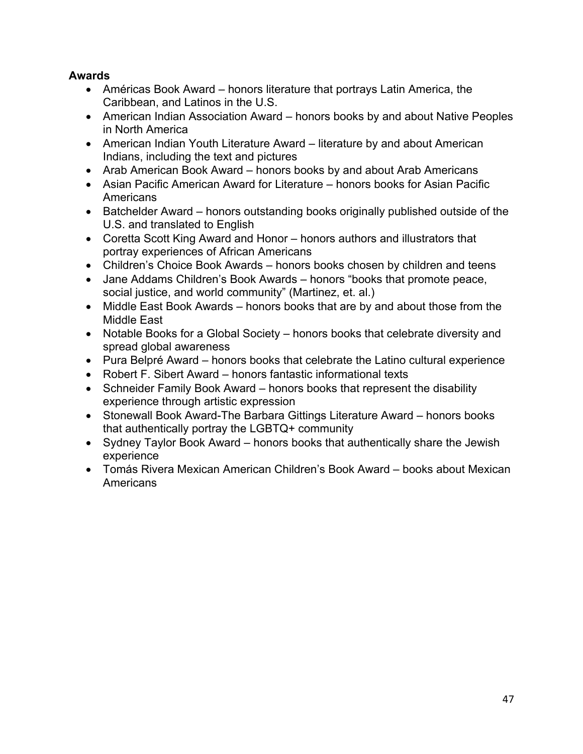## **Awards**

- Américas Book Award honors literature that portrays Latin America, the Caribbean, and Latinos in the U.S.
- American Indian Association Award honors books by and about Native Peoples in North America
- American Indian Youth Literature Award literature by and about American Indians, including the text and pictures
- Arab American Book Award honors books by and about Arab Americans
- Asian Pacific American Award for Literature honors books for Asian Pacific Americans
- Batchelder Award honors outstanding books originally published outside of the U.S. and translated to English
- Coretta Scott King Award and Honor honors authors and illustrators that portray experiences of African Americans
- Children's Choice Book Awards honors books chosen by children and teens
- Jane Addams Children's Book Awards honors "books that promote peace, social justice, and world community" (Martinez, et. al.)
- Middle East Book Awards honors books that are by and about those from the Middle East
- Notable Books for a Global Society honors books that celebrate diversity and spread global awareness
- Pura Belpré Award honors books that celebrate the Latino cultural experience
- Robert F. Sibert Award honors fantastic informational texts
- Schneider Family Book Award honors books that represent the disability experience through artistic expression
- Stonewall Book Award-The Barbara Gittings Literature Award honors books that authentically portray the LGBTQ+ community
- Sydney Taylor Book Award honors books that authentically share the Jewish experience
- Tomás Rivera Mexican American Children's Book Award books about Mexican **Americans**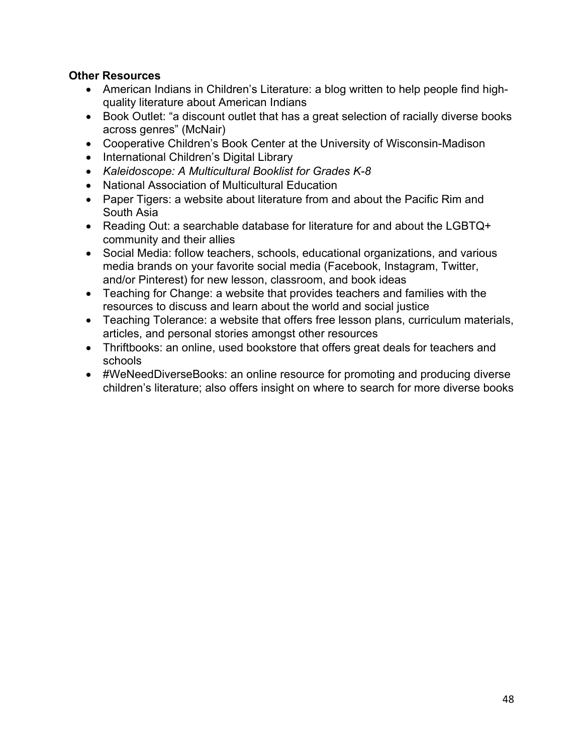### **Other Resources**

- American Indians in Children's Literature: a blog written to help people find highquality literature about American Indians
- Book Outlet: "a discount outlet that has a great selection of racially diverse books across genres" (McNair)
- Cooperative Children's Book Center at the University of Wisconsin-Madison
- International Children's Digital Library
- *Kaleidoscope: A Multicultural Booklist for Grades K-8*
- National Association of Multicultural Education
- Paper Tigers: a website about literature from and about the Pacific Rim and South Asia
- Reading Out: a searchable database for literature for and about the LGBTQ+ community and their allies
- Social Media: follow teachers, schools, educational organizations, and various media brands on your favorite social media (Facebook, Instagram, Twitter, and/or Pinterest) for new lesson, classroom, and book ideas
- Teaching for Change: a website that provides teachers and families with the resources to discuss and learn about the world and social justice
- Teaching Tolerance: a website that offers free lesson plans, curriculum materials, articles, and personal stories amongst other resources
- Thriftbooks: an online, used bookstore that offers great deals for teachers and schools
- #WeNeedDiverseBooks: an online resource for promoting and producing diverse children's literature; also offers insight on where to search for more diverse books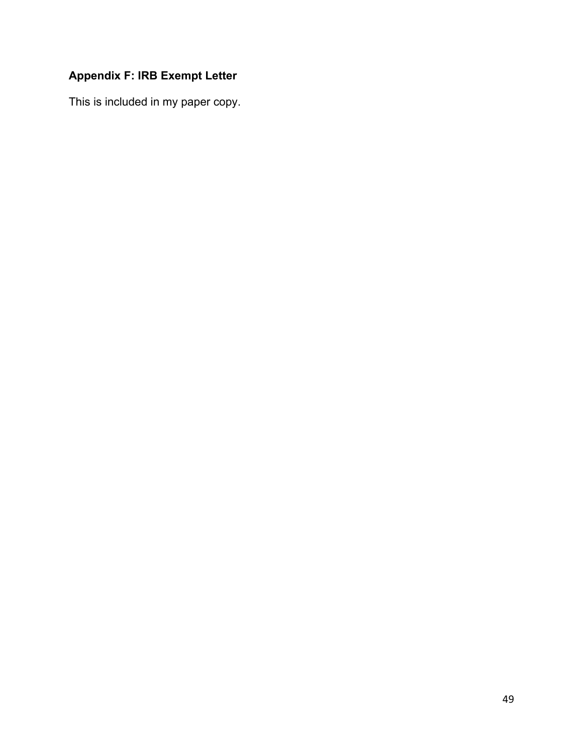## **Appendix F: IRB Exempt Letter**

This is included in my paper copy.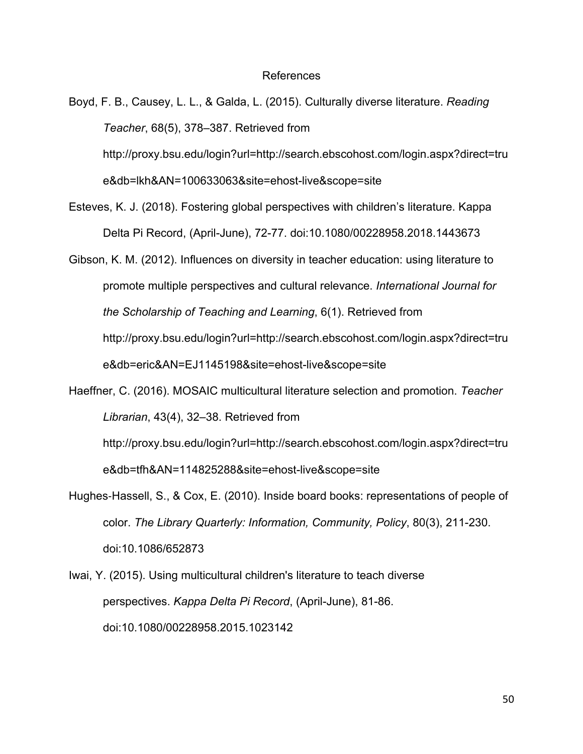#### References

Boyd, F. B., Causey, L. L., & Galda, L. (2015). Culturally diverse literature. *Reading Teacher*, 68(5), 378–387. Retrieved from http://proxy.bsu.edu/login?url=http://search.ebscohost.com/login.aspx?direct=tru e&db=lkh&AN=100633063&site=ehost-live&scope=site

Esteves, K. J. (2018). Fostering global perspectives with children's literature. Kappa Delta Pi Record, (April-June), 72-77. doi:10.1080/00228958.2018.1443673

Gibson, K. M. (2012). Influences on diversity in teacher education: using literature to promote multiple perspectives and cultural relevance. *International Journal for the Scholarship of Teaching and Learning*, 6(1). Retrieved from http://proxy.bsu.edu/login?url=http://search.ebscohost.com/login.aspx?direct=tru e&db=eric&AN=EJ1145198&site=ehost-live&scope=site

Haeffner, C. (2016). MOSAIC multicultural literature selection and promotion. *Teacher Librarian*, 43(4), 32–38. Retrieved from

http://proxy.bsu.edu/login?url=http://search.ebscohost.com/login.aspx?direct=tru e&db=tfh&AN=114825288&site=ehost-live&scope=site

Hughes-Hassell, S., & Cox, E. (2010). Inside board books: representations of people of color. *The Library Quarterly: Information, Community, Policy*, 80(3), 211-230. doi:10.1086/652873

Iwai, Y. (2015). Using multicultural children's literature to teach diverse perspectives. *Kappa Delta Pi Record*, (April-June), 81-86. doi:10.1080/00228958.2015.1023142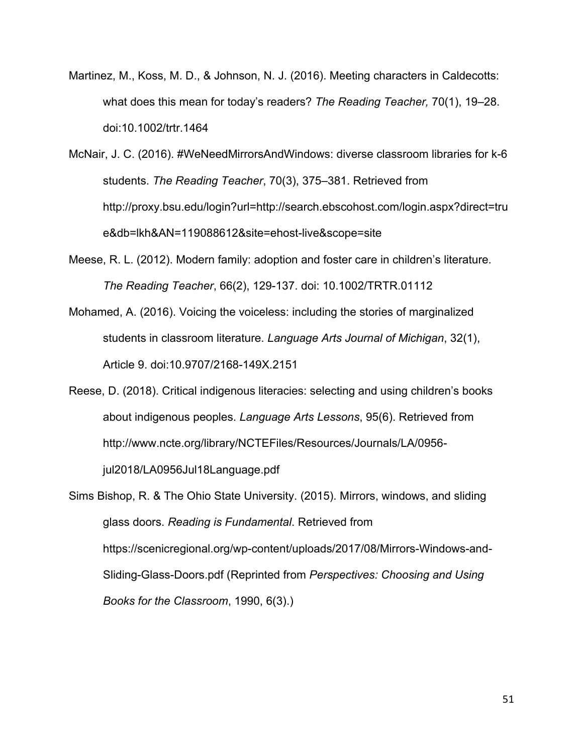- Martinez, M., Koss, M. D., & Johnson, N. J. (2016). Meeting characters in Caldecotts: what does this mean for today's readers? *The Reading Teacher,* 70(1), 19–28. doi:10.1002/trtr.1464
- McNair, J. C. (2016). #WeNeedMirrorsAndWindows: diverse classroom libraries for k-6 students. *The Reading Teacher*, 70(3), 375–381. Retrieved from http://proxy.bsu.edu/login?url=http://search.ebscohost.com/login.aspx?direct=tru e&db=lkh&AN=119088612&site=ehost-live&scope=site
- Meese, R. L. (2012). Modern family: adoption and foster care in children's literature. *The Reading Teacher*, 66(2), 129-137. doi: 10.1002/TRTR.01112
- Mohamed, A. (2016). Voicing the voiceless: including the stories of marginalized students in classroom literature. *Language Arts Journal of Michigan*, 32(1), Article 9. doi:10.9707/2168-149X.2151
- Reese, D. (2018). Critical indigenous literacies: selecting and using children's books about indigenous peoples. *Language Arts Lessons*, 95(6). Retrieved from http://www.ncte.org/library/NCTEFiles/Resources/Journals/LA/0956 jul2018/LA0956Jul18Language.pdf

Sims Bishop, R. & The Ohio State University. (2015). Mirrors, windows, and sliding glass doors. *Reading is Fundamental*. Retrieved from https://scenicregional.org/wp-content/uploads/2017/08/Mirrors-Windows-and-Sliding-Glass-Doors.pdf (Reprinted from *Perspectives: Choosing and Using Books for the Classroom*, 1990, 6(3).)